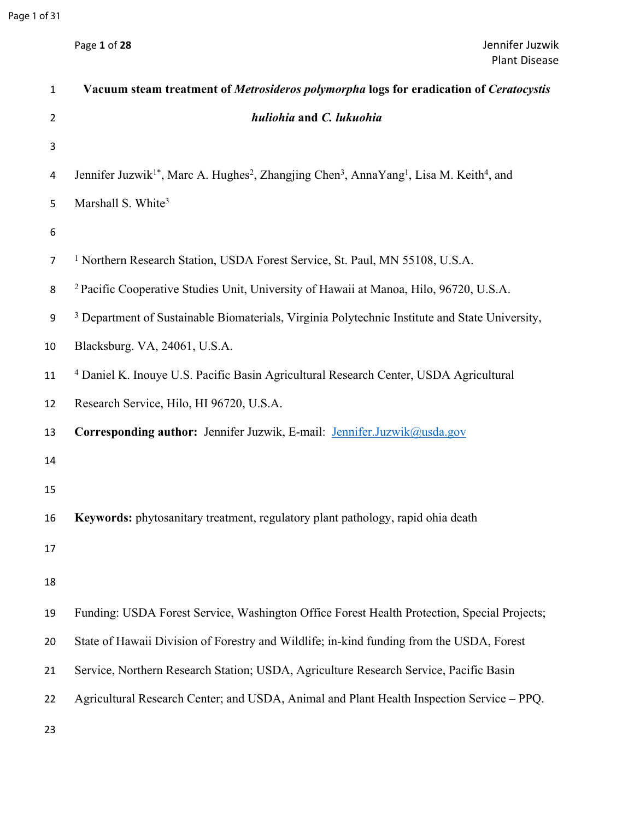| Page 1 of 28 |  |  |  |
|--------------|--|--|--|
|--------------|--|--|--|

| $\mathbf 1$    | Vacuum steam treatment of Metrosideros polymorpha logs for eradication of Ceratocystis                                                               |
|----------------|------------------------------------------------------------------------------------------------------------------------------------------------------|
| $\overline{2}$ | huliohia and C. lukuohia                                                                                                                             |
| 3              |                                                                                                                                                      |
| $\overline{a}$ | Jennifer Juzwik <sup>1*</sup> , Marc A. Hughes <sup>2</sup> , Zhangjing Chen <sup>3</sup> , AnnaYang <sup>1</sup> , Lisa M. Keith <sup>4</sup> , and |
| 5              | Marshall S. White <sup>3</sup>                                                                                                                       |
| 6              |                                                                                                                                                      |
| $\overline{7}$ | <sup>1</sup> Northern Research Station, USDA Forest Service, St. Paul, MN 55108, U.S.A.                                                              |
| 8              | <sup>2</sup> Pacific Cooperative Studies Unit, University of Hawaii at Manoa, Hilo, 96720, U.S.A.                                                    |
| 9              | <sup>3</sup> Department of Sustainable Biomaterials, Virginia Polytechnic Institute and State University,                                            |
| 10             | Blacksburg. VA, 24061, U.S.A.                                                                                                                        |
| 11             | <sup>4</sup> Daniel K. Inouye U.S. Pacific Basin Agricultural Research Center, USDA Agricultural                                                     |
| 12             | Research Service, Hilo, HI 96720, U.S.A.                                                                                                             |
| 13             | Corresponding author: Jennifer Juzwik, E-mail: Jennifer.Juzwik@usda.gov                                                                              |
| 14             |                                                                                                                                                      |
| 15             |                                                                                                                                                      |
| 16             | Keywords: phytosanitary treatment, regulatory plant pathology, rapid ohia death                                                                      |
| 17             |                                                                                                                                                      |
| 18             |                                                                                                                                                      |
| 19             | Funding: USDA Forest Service, Washington Office Forest Health Protection, Special Projects;                                                          |
| 20             | State of Hawaii Division of Forestry and Wildlife; in-kind funding from the USDA, Forest                                                             |
| 21             | Service, Northern Research Station; USDA, Agriculture Research Service, Pacific Basin                                                                |
| 22             | Agricultural Research Center; and USDA, Animal and Plant Health Inspection Service - PPQ.                                                            |
| 23             |                                                                                                                                                      |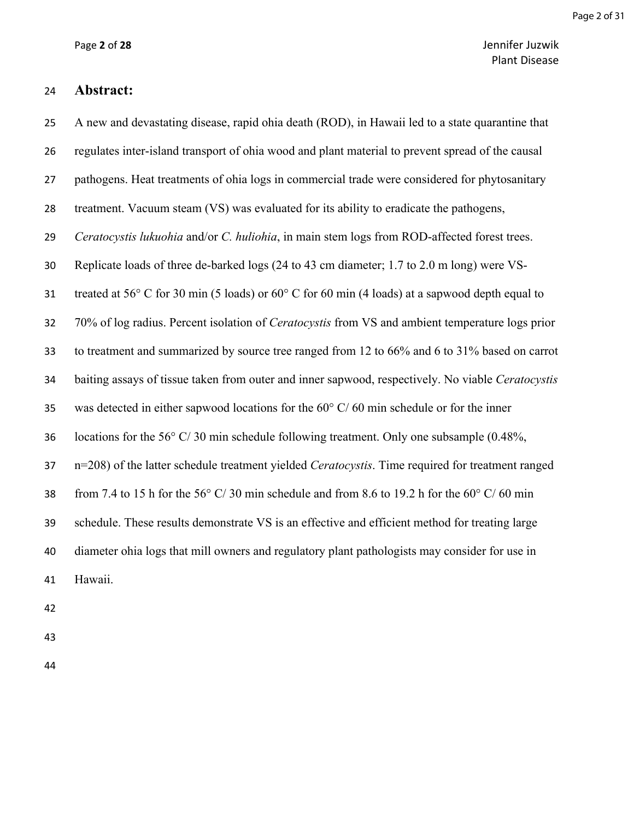Page 2 of 31

Page **2** of **28** Jennifer Juzwik Plant Disease

#### **Abstract:**

 A new and devastating disease, rapid ohia death (ROD), in Hawaii led to a state quarantine that regulates inter-island transport of ohia wood and plant material to prevent spread of the causal pathogens. Heat treatments of ohia logs in commercial trade were considered for phytosanitary treatment. Vacuum steam (VS) was evaluated for its ability to eradicate the pathogens, *Ceratocystis lukuohia* and/or *C. huliohia*, in main stem logs from ROD-affected forest trees. Replicate loads of three de-barked logs (24 to 43 cm diameter; 1.7 to 2.0 m long) were VS- treated at 56° C for 30 min (5 loads) or 60° C for 60 min (4 loads) at a sapwood depth equal to 70% of log radius. Percent isolation of *Ceratocystis* from VS and ambient temperature logs prior to treatment and summarized by source tree ranged from 12 to 66% and 6 to 31% based on carrot baiting assays of tissue taken from outer and inner sapwood, respectively. No viable *Ceratocystis* 35 was detected in either sapwood locations for the  $60^{\circ}$  C/60 min schedule or for the inner 36 locations for the 56 $\degree$  C/ 30 min schedule following treatment. Only one subsample (0.48%, n=208) of the latter schedule treatment yielded *Ceratocystis*. Time required for treatment ranged 38 from 7.4 to 15 h for the 56 $\degree$  C/ 30 min schedule and from 8.6 to 19.2 h for the 60 $\degree$  C/ 60 min schedule. These results demonstrate VS is an effective and efficient method for treating large diameter ohia logs that mill owners and regulatory plant pathologists may consider for use in Hawaii.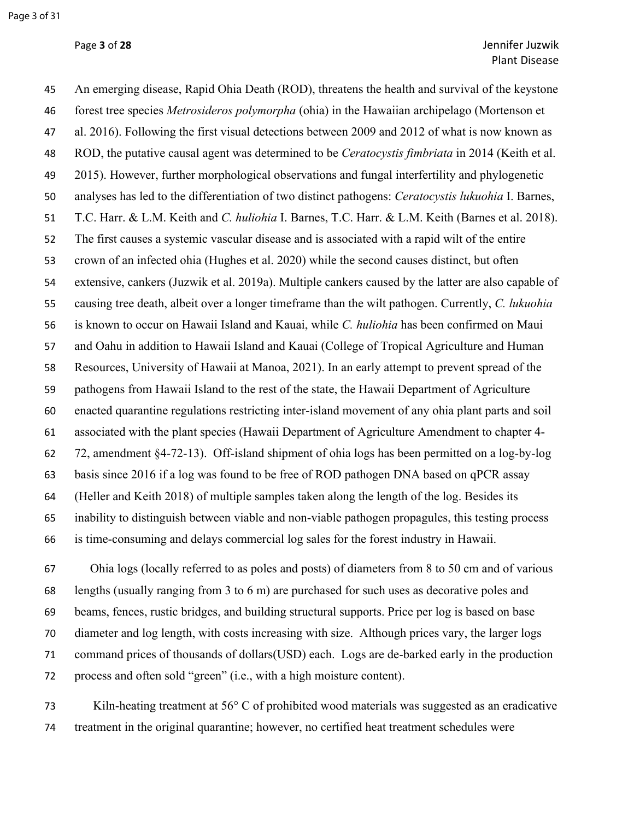An emerging disease, Rapid Ohia Death (ROD), threatens the health and survival of the keystone forest tree species *Metrosideros polymorpha* (ohia) in the Hawaiian archipelago (Mortenson et al. 2016). Following the first visual detections between 2009 and 2012 of what is now known as ROD, the putative causal agent was determined to be *Ceratocystis fimbriata* in 2014 (Keith et al. 2015). However, further morphological observations and fungal interfertility and phylogenetic analyses has led to the differentiation of two distinct pathogens: *Ceratocystis lukuohia* I. Barnes, T.C. Harr. & L.M. Keith and *C. huliohia* I. Barnes, T.C. Harr. & L.M. Keith (Barnes et al. 2018). The first causes a systemic vascular disease and is associated with a rapid wilt of the entire crown of an infected ohia (Hughes et al. 2020) while the second causes distinct, but often extensive, cankers (Juzwik et al. 2019a). Multiple cankers caused by the latter are also capable of causing tree death, albeit over a longer timeframe than the wilt pathogen. Currently, *C. lukuohia* is known to occur on Hawaii Island and Kauai, while *C. huliohia* has been confirmed on Maui and Oahu in addition to Hawaii Island and Kauai (College of Tropical Agriculture and Human Resources, University of Hawaii at Manoa, 2021). In an early attempt to prevent spread of the pathogens from Hawaii Island to the rest of the state, the Hawaii Department of Agriculture enacted quarantine regulations restricting inter-island movement of any ohia plant parts and soil associated with the plant species (Hawaii Department of Agriculture Amendment to chapter 4- 72, amendment §4-72-13). Off-island shipment of ohia logs has been permitted on a log-by-log basis since 2016 if a log was found to be free of ROD pathogen DNA based on qPCR assay (Heller and Keith 2018) of multiple samples taken along the length of the log. Besides its inability to distinguish between viable and non-viable pathogen propagules, this testing process is time-consuming and delays commercial log sales for the forest industry in Hawaii.

 Ohia logs (locally referred to as poles and posts) of diameters from 8 to 50 cm and of various lengths (usually ranging from 3 to 6 m) are purchased for such uses as decorative poles and beams, fences, rustic bridges, and building structural supports. Price per log is based on base diameter and log length, with costs increasing with size. Although prices vary, the larger logs command prices of thousands of dollars(USD) each. Logs are de-barked early in the production process and often sold "green" (i.e., with a high moisture content).

 Kiln-heating treatment at 56° C of prohibited wood materials was suggested as an eradicative treatment in the original quarantine; however, no certified heat treatment schedules were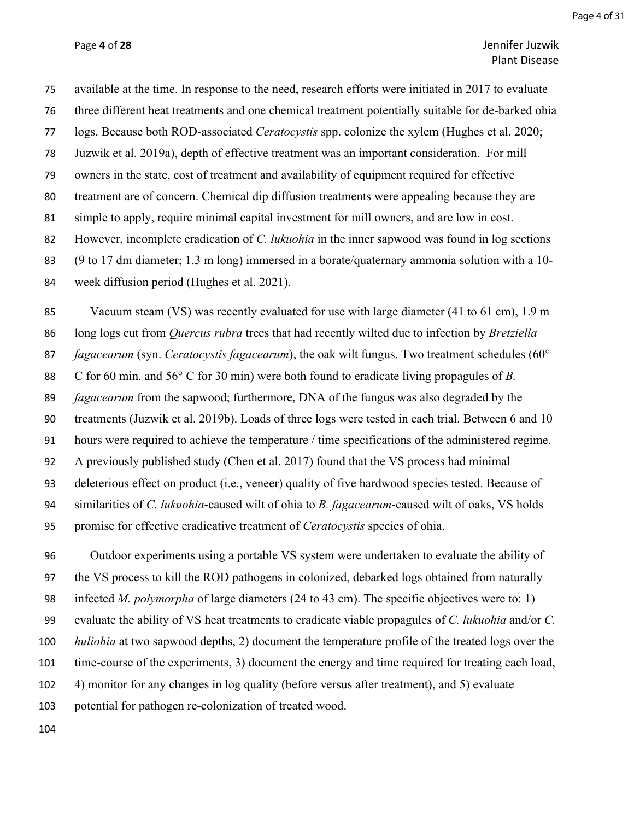## Page **4** of **28** Jennifer Juzwik Plant Disease

 available at the time. In response to the need, research efforts were initiated in 2017 to evaluate three different heat treatments and one chemical treatment potentially suitable for de-barked ohia logs. Because both ROD-associated *Ceratocystis* spp. colonize the xylem (Hughes et al. 2020; Juzwik et al. 2019a), depth of effective treatment was an important consideration. For mill owners in the state, cost of treatment and availability of equipment required for effective treatment are of concern. Chemical dip diffusion treatments were appealing because they are simple to apply, require minimal capital investment for mill owners, and are low in cost. However, incomplete eradication of *C. lukuohia* in the inner sapwood was found in log sections (9 to 17 dm diameter; 1.3 m long) immersed in a borate/quaternary ammonia solution with a 10- week diffusion period (Hughes et al. 2021).

85 Vacuum steam (VS) was recently evaluated for use with large diameter (41 to 61 cm), 1.9 m long logs cut from *Quercus rubra* trees that had recently wilted due to infection by *Bretziella fagacearum* (syn. *Ceratocystis fagacearum*), the oak wilt fungus. Two treatment schedules (60° C for 60 min. and 56° C for 30 min) were both found to eradicate living propagules of *B. fagacearum* from the sapwood; furthermore, DNA of the fungus was also degraded by the treatments (Juzwik et al. 2019b). Loads of three logs were tested in each trial. Between 6 and 10 hours were required to achieve the temperature / time specifications of the administered regime. A previously published study (Chen et al. 2017) found that the VS process had minimal deleterious effect on product (i.e., veneer) quality of five hardwood species tested. Because of similarities of *C. lukuohia*-caused wilt of ohia to *B. fagacearum*-caused wilt of oaks, VS holds promise for effective eradicative treatment of *Ceratocystis* species of ohia.

 Outdoor experiments using a portable VS system were undertaken to evaluate the ability of the VS process to kill the ROD pathogens in colonized, debarked logs obtained from naturally infected *M. polymorpha* of large diameters (24 to 43 cm). The specific objectives were to: 1) evaluate the ability of VS heat treatments to eradicate viable propagules of *C. lukuohia* and/or *C. huliohia* at two sapwood depths, 2) document the temperature profile of the treated logs over the time-course of the experiments, 3) document the energy and time required for treating each load, 4) monitor for any changes in log quality (before versus after treatment), and 5) evaluate potential for pathogen re-colonization of treated wood.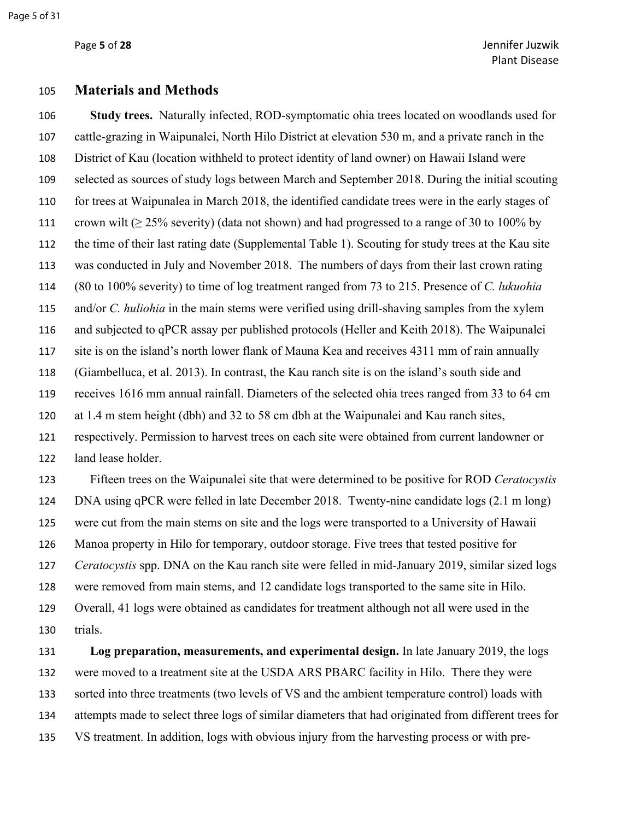Page 5 of 31

# **Materials and Methods**

 **Study trees.** Naturally infected, ROD-symptomatic ohia trees located on woodlands used for cattle-grazing in Waipunalei, North Hilo District at elevation 530 m, and a private ranch in the District of Kau (location withheld to protect identity of land owner) on Hawaii Island were selected as sources of study logs between March and September 2018. During the initial scouting for trees at Waipunalea in March 2018, the identified candidate trees were in the early stages of 111 crown wilt ( $\geq$  25% severity) (data not shown) and had progressed to a range of 30 to 100% by the time of their last rating date (Supplemental Table 1). Scouting for study trees at the Kau site was conducted in July and November 2018. The numbers of days from their last crown rating (80 to 100% severity) to time of log treatment ranged from 73 to 215. Presence of *C. lukuohia* and/or *C. huliohia* in the main stems were verified using drill-shaving samples from the xylem and subjected to qPCR assay per published protocols (Heller and Keith 2018). The Waipunalei site is on the island's north lower flank of Mauna Kea and receives 4311 mm of rain annually (Giambelluca, et al. 2013). In contrast, the Kau ranch site is on the island's south side and receives 1616 mm annual rainfall. Diameters of the selected ohia trees ranged from 33 to 64 cm at 1.4 m stem height (dbh) and 32 to 58 cm dbh at the Waipunalei and Kau ranch sites, respectively. Permission to harvest trees on each site were obtained from current landowner or land lease holder.

 Fifteen trees on the Waipunalei site that were determined to be positive for ROD *Ceratocystis* DNA using qPCR were felled in late December 2018. Twenty-nine candidate logs (2.1 m long) were cut from the main stems on site and the logs were transported to a University of Hawaii Manoa property in Hilo for temporary, outdoor storage. Five trees that tested positive for *Ceratocystis* spp. DNA on the Kau ranch site were felled in mid-January 2019, similar sized logs were removed from main stems, and 12 candidate logs transported to the same site in Hilo. Overall, 41 logs were obtained as candidates for treatment although not all were used in the trials.

 **Log preparation, measurements, and experimental design.** In late January 2019, the logs were moved to a treatment site at the USDA ARS PBARC facility in Hilo. There they were sorted into three treatments (two levels of VS and the ambient temperature control) loads with attempts made to select three logs of similar diameters that had originated from different trees for VS treatment. In addition, logs with obvious injury from the harvesting process or with pre-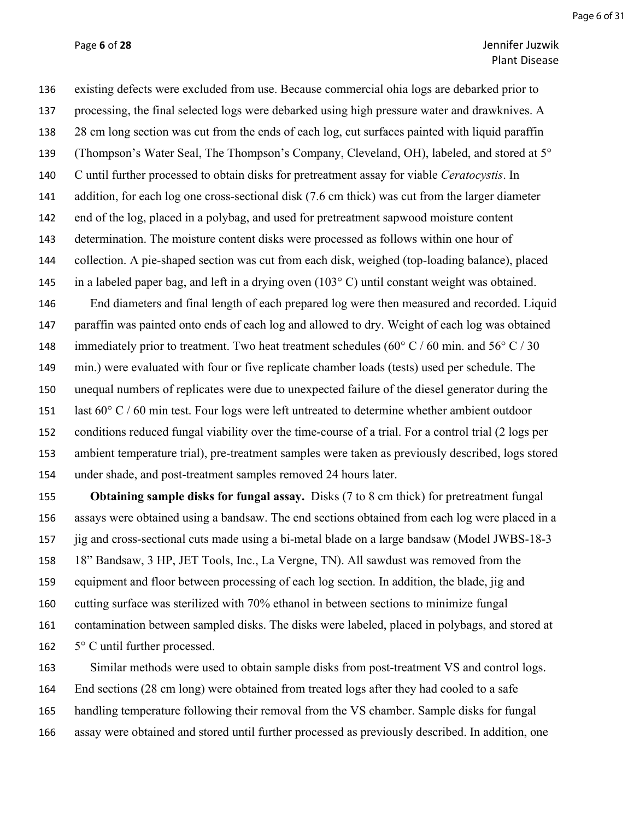#### Page **6** of **28** Jennifer Juzwik Plant Disease

 existing defects were excluded from use. Because commercial ohia logs are debarked prior to processing, the final selected logs were debarked using high pressure water and drawknives. A 28 cm long section was cut from the ends of each log, cut surfaces painted with liquid paraffin (Thompson's Water Seal, The Thompson's Company, Cleveland, OH), labeled, and stored at 5° C until further processed to obtain disks for pretreatment assay for viable *Ceratocystis*. In addition, for each log one cross-sectional disk (7.6 cm thick) was cut from the larger diameter end of the log, placed in a polybag, and used for pretreatment sapwood moisture content determination. The moisture content disks were processed as follows within one hour of collection. A pie-shaped section was cut from each disk, weighed (top-loading balance), placed 145 in a labeled paper bag, and left in a drying oven  $(103^{\circ} \text{ C})$  until constant weight was obtained. End diameters and final length of each prepared log were then measured and recorded. Liquid paraffin was painted onto ends of each log and allowed to dry. Weight of each log was obtained 148 immediately prior to treatment. Two heat treatment schedules (60 $\degree$  C / 60 min. and 56 $\degree$  C / 30 min.) were evaluated with four or five replicate chamber loads (tests) used per schedule. The unequal numbers of replicates were due to unexpected failure of the diesel generator during the last 60° C / 60 min test. Four logs were left untreated to determine whether ambient outdoor conditions reduced fungal viability over the time-course of a trial. For a control trial (2 logs per ambient temperature trial), pre-treatment samples were taken as previously described, logs stored under shade, and post-treatment samples removed 24 hours later.

 **Obtaining sample disks for fungal assay.** Disks (7 to 8 cm thick) for pretreatment fungal assays were obtained using a bandsaw. The end sections obtained from each log were placed in a jig and cross-sectional cuts made using a bi-metal blade on a large bandsaw (Model JWBS-18-3 18" Bandsaw, 3 HP, JET Tools, Inc., La Vergne, TN). All sawdust was removed from the equipment and floor between processing of each log section. In addition, the blade, jig and cutting surface was sterilized with 70% ethanol in between sections to minimize fungal contamination between sampled disks. The disks were labeled, placed in polybags, and stored at 5° C until further processed.

 Similar methods were used to obtain sample disks from post-treatment VS and control logs. End sections (28 cm long) were obtained from treated logs after they had cooled to a safe handling temperature following their removal from the VS chamber. Sample disks for fungal assay were obtained and stored until further processed as previously described. In addition, one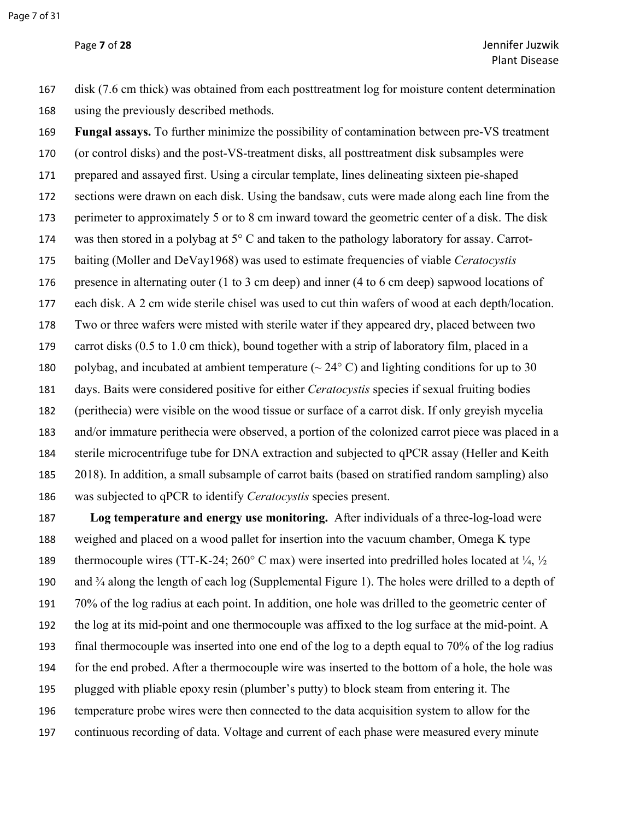disk (7.6 cm thick) was obtained from each posttreatment log for moisture content determination using the previously described methods.

 **Fungal assays.** To further minimize the possibility of contamination between pre-VS treatment (or control disks) and the post-VS-treatment disks, all posttreatment disk subsamples were prepared and assayed first. Using a circular template, lines delineating sixteen pie-shaped sections were drawn on each disk. Using the bandsaw, cuts were made along each line from the perimeter to approximately 5 or to 8 cm inward toward the geometric center of a disk. The disk was then stored in a polybag at 5° C and taken to the pathology laboratory for assay. Carrot- baiting (Moller and DeVay1968) was used to estimate frequencies of viable *Ceratocystis* presence in alternating outer (1 to 3 cm deep) and inner (4 to 6 cm deep) sapwood locations of each disk. A 2 cm wide sterile chisel was used to cut thin wafers of wood at each depth/location. Two or three wafers were misted with sterile water if they appeared dry, placed between two carrot disks (0.5 to 1.0 cm thick), bound together with a strip of laboratory film, placed in a 180 polybag, and incubated at ambient temperature  $(\sim 24^{\circ} \text{ C})$  and lighting conditions for up to 30 days. Baits were considered positive for either *Ceratocystis* species if sexual fruiting bodies (perithecia) were visible on the wood tissue or surface of a carrot disk. If only greyish mycelia and/or immature perithecia were observed, a portion of the colonized carrot piece was placed in a sterile microcentrifuge tube for DNA extraction and subjected to qPCR assay (Heller and Keith 2018). In addition, a small subsample of carrot baits (based on stratified random sampling) also was subjected to qPCR to identify *Ceratocystis* species present.

 **Log temperature and energy use monitoring.** After individuals of a three-log-load were weighed and placed on a wood pallet for insertion into the vacuum chamber, Omega K type 189 thermocouple wires (TT-K-24; 260 $^{\circ}$  C max) were inserted into predrilled holes located at  $\frac{1}{4}$ ,  $\frac{1}{2}$  and ¾ along the length of each log (Supplemental Figure 1). The holes were drilled to a depth of 70% of the log radius at each point. In addition, one hole was drilled to the geometric center of the log at its mid-point and one thermocouple was affixed to the log surface at the mid-point. A final thermocouple was inserted into one end of the log to a depth equal to 70% of the log radius for the end probed. After a thermocouple wire was inserted to the bottom of a hole, the hole was plugged with pliable epoxy resin (plumber's putty) to block steam from entering it. The temperature probe wires were then connected to the data acquisition system to allow for the continuous recording of data. Voltage and current of each phase were measured every minute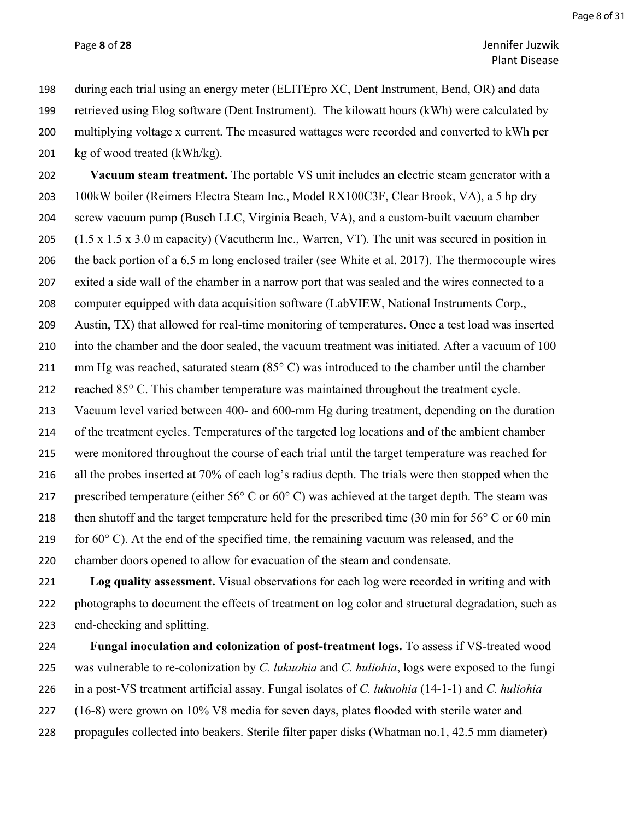Page **8** of **28** Jennifer Juzwik Plant Disease

 during each trial using an energy meter (ELITEpro XC, Dent Instrument, Bend, OR) and data retrieved using Elog software (Dent Instrument). The kilowatt hours (kWh) were calculated by multiplying voltage x current. The measured wattages were recorded and converted to kWh per kg of wood treated (kWh/kg).

 **Vacuum steam treatment.** The portable VS unit includes an electric steam generator with a 100kW boiler (Reimers Electra Steam Inc., Model RX100C3F, Clear Brook, VA), a 5 hp dry screw vacuum pump (Busch LLC, Virginia Beach, VA), and a custom-built vacuum chamber (1.5 x 1.5 x 3.0 m capacity) (Vacutherm Inc., Warren, VT). The unit was secured in position in the back portion of a 6.5 m long enclosed trailer (see White et al. 2017). The thermocouple wires exited a side wall of the chamber in a narrow port that was sealed and the wires connected to a computer equipped with data acquisition software (LabVIEW, National Instruments Corp., Austin, TX) that allowed for real-time monitoring of temperatures. Once a test load was inserted into the chamber and the door sealed, the vacuum treatment was initiated. After a vacuum of 100 211 mm Hg was reached, saturated steam (85°C) was introduced to the chamber until the chamber reached 85° C. This chamber temperature was maintained throughout the treatment cycle. Vacuum level varied between 400- and 600-mm Hg during treatment, depending on the duration of the treatment cycles. Temperatures of the targeted log locations and of the ambient chamber were monitored throughout the course of each trial until the target temperature was reached for all the probes inserted at 70% of each log's radius depth. The trials were then stopped when the 217 prescribed temperature (either  $56^{\circ}$  C or  $60^{\circ}$  C) was achieved at the target depth. The steam was then shutoff and the target temperature held for the prescribed time (30 min for 56° C or 60 min 219 for  $60^{\circ}$  C). At the end of the specified time, the remaining vacuum was released, and the chamber doors opened to allow for evacuation of the steam and condensate.

 **Log quality assessment.** Visual observations for each log were recorded in writing and with photographs to document the effects of treatment on log color and structural degradation, such as end-checking and splitting.

 **Fungal inoculation and colonization of post-treatment logs.** To assess if VS-treated wood was vulnerable to re-colonization by *C. lukuohia* and *C. huliohia*, logs were exposed to the fungi in a post-VS treatment artificial assay. Fungal isolates of *C. lukuohia* (14-1-1) and *C. huliohia* (16-8) were grown on 10% V8 media for seven days, plates flooded with sterile water and propagules collected into beakers. Sterile filter paper disks (Whatman no.1, 42.5 mm diameter)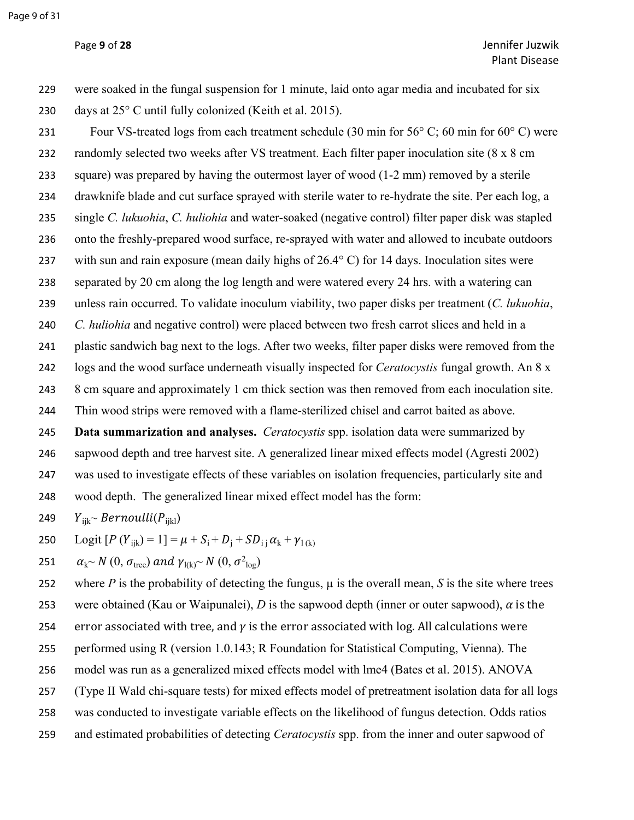were soaked in the fungal suspension for 1 minute, laid onto agar media and incubated for six days at 25° C until fully colonized (Keith et al. 2015).

 Four VS-treated logs from each treatment schedule (30 min for 56° C; 60 min for 60° C) were randomly selected two weeks after VS treatment. Each filter paper inoculation site (8 x 8 cm square) was prepared by having the outermost layer of wood (1-2 mm) removed by a sterile drawknife blade and cut surface sprayed with sterile water to re-hydrate the site. Per each log, a single *C. lukuohia*, *C. huliohia* and water-soaked (negative control) filter paper disk was stapled onto the freshly-prepared wood surface, re-sprayed with water and allowed to incubate outdoors with sun and rain exposure (mean daily highs of 26.4° C) for 14 days. Inoculation sites were separated by 20 cm along the log length and were watered every 24 hrs. with a watering can unless rain occurred. To validate inoculum viability, two paper disks per treatment (*C. lukuohia*, *C. huliohia* and negative control) were placed between two fresh carrot slices and held in a plastic sandwich bag next to the logs. After two weeks, filter paper disks were removed from the logs and the wood surface underneath visually inspected for *Ceratocystis* fungal growth. An 8 x 243 8 cm square and approximately 1 cm thick section was then removed from each inoculation site. Thin wood strips were removed with a flame-sterilized chisel and carrot baited as above. **Data summarization and analyses.** *Ceratocystis* spp. isolation data were summarized by sapwood depth and tree harvest site. A generalized linear mixed effects model (Agresti 2002) was used to investigate effects of these variables on isolation frequencies, particularly site and wood depth. The generalized linear mixed effect model has the form:

249  $Y_{iik}$ ~ Bernoulli( $P_{iik}$ )

250 Logit  $[P(Y_{ijk}) = 1] = \mu + S_i + D_j + SD_{ij} \alpha_k + \gamma_{1(k)}$ 

251  $\alpha_{k} \sim N(0, \sigma_{tree})$  and  $\gamma_{l(k)} \sim N(0, \sigma_{log}^2)$ 

252 where *P* is the probability of detecting the fungus,  $\mu$  is the overall mean, *S* is the site where trees 253 were obtained (Kau or Waipunalei), *D* is the sapwood depth (inner or outer sapwood),  $\alpha$  is the 254 error associated with tree, and  $\gamma$  is the error associated with log. All calculations were performed using R (version 1.0.143; R Foundation for Statistical Computing, Vienna). The model was run as a generalized mixed effects model with lme4 (Bates et al. 2015). ANOVA (Type II Wald chi-square tests) for mixed effects model of pretreatment isolation data for all logs was conducted to investigate variable effects on the likelihood of fungus detection. Odds ratios and estimated probabilities of detecting *Ceratocystis* spp. from the inner and outer sapwood of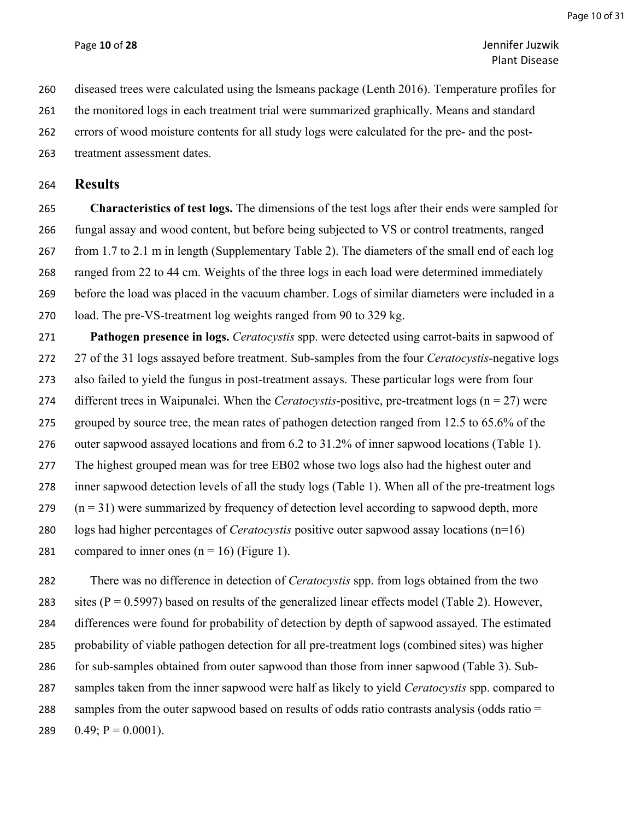Page **10** of **28** Jennifer Juzwik Plant Disease

diseased trees were calculated using the lsmeans package (Lenth 2016). Temperature profiles for

261 the monitored logs in each treatment trial were summarized graphically. Means and standard

errors of wood moisture contents for all study logs were calculated for the pre- and the post-

treatment assessment dates.

**Results**

 **Characteristics of test logs.** The dimensions of the test logs after their ends were sampled for fungal assay and wood content, but before being subjected to VS or control treatments, ranged from 1.7 to 2.1 m in length (Supplementary Table 2). The diameters of the small end of each log ranged from 22 to 44 cm. Weights of the three logs in each load were determined immediately before the load was placed in the vacuum chamber. Logs of similar diameters were included in a load. The pre-VS-treatment log weights ranged from 90 to 329 kg.

 **Pathogen presence in logs.** *Ceratocystis* spp. were detected using carrot-baits in sapwood of 27 of the 31 logs assayed before treatment. Sub-samples from the four *Ceratocystis*-negative logs also failed to yield the fungus in post-treatment assays. These particular logs were from four different trees in Waipunalei. When the *Ceratocystis*-positive, pre-treatment logs (n = 27) were grouped by source tree, the mean rates of pathogen detection ranged from 12.5 to 65.6% of the outer sapwood assayed locations and from 6.2 to 31.2% of inner sapwood locations (Table 1). The highest grouped mean was for tree EB02 whose two logs also had the highest outer and inner sapwood detection levels of all the study logs (Table 1). When all of the pre-treatment logs (n = 31) were summarized by frequency of detection level according to sapwood depth, more logs had higher percentages of *Ceratocystis* positive outer sapwood assay locations (n=16) 281 compared to inner ones  $(n = 16)$  (Figure 1).

 There was no difference in detection of *Ceratocystis* spp. from logs obtained from the two 283 sites ( $P = 0.5997$ ) based on results of the generalized linear effects model (Table 2). However, differences were found for probability of detection by depth of sapwood assayed. The estimated probability of viable pathogen detection for all pre-treatment logs (combined sites) was higher for sub-samples obtained from outer sapwood than those from inner sapwood (Table 3). Sub- samples taken from the inner sapwood were half as likely to yield *Ceratocystis* spp. compared to 288 samples from the outer sapwood based on results of odds ratio contrasts analysis (odds ratio =  $0.49; P = 0.0001$ ).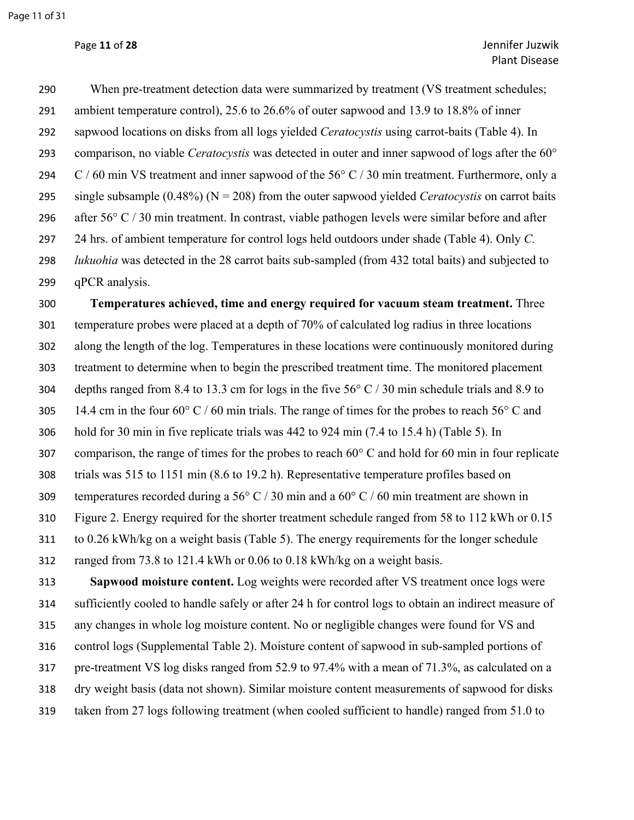When pre-treatment detection data were summarized by treatment (VS treatment schedules; ambient temperature control), 25.6 to 26.6% of outer sapwood and 13.9 to 18.8% of inner sapwood locations on disks from all logs yielded *Ceratocystis* using carrot-baits (Table 4). In comparison, no viable *Ceratocystis* was detected in outer and inner sapwood of logs after the 60° 294 C / 60 min VS treatment and inner sapwood of the 56° C / 30 min treatment. Furthermore, only a single subsample (0.48%) (N = 208) from the outer sapwood yielded *Ceratocystis* on carrot baits after 56° C / 30 min treatment. In contrast, viable pathogen levels were similar before and after 24 hrs. of ambient temperature for control logs held outdoors under shade (Table 4). Only *C. lukuohia* was detected in the 28 carrot baits sub-sampled (from 432 total baits) and subjected to qPCR analysis.

 **Temperatures achieved, time and energy required for vacuum steam treatment.** Three temperature probes were placed at a depth of 70% of calculated log radius in three locations along the length of the log. Temperatures in these locations were continuously monitored during treatment to determine when to begin the prescribed treatment time. The monitored placement depths ranged from 8.4 to 13.3 cm for logs in the five 56° C / 30 min schedule trials and 8.9 to 305 14.4 cm in the four  $60^{\circ}$  C / 60 min trials. The range of times for the probes to reach 56 $^{\circ}$  C and hold for 30 min in five replicate trials was 442 to 924 min (7.4 to 15.4 h) (Table 5). In comparison, the range of times for the probes to reach 60° C and hold for 60 min in four replicate trials was 515 to 1151 min (8.6 to 19.2 h). Representative temperature profiles based on 309 temperatures recorded during a 56 $\degree$  C / 30 min and a 60 $\degree$  C / 60 min treatment are shown in Figure 2. Energy required for the shorter treatment schedule ranged from 58 to 112 kWh or 0.15 to 0.26 kWh/kg on a weight basis (Table 5). The energy requirements for the longer schedule ranged from 73.8 to 121.4 kWh or 0.06 to 0.18 kWh/kg on a weight basis.

 **Sapwood moisture content.** Log weights were recorded after VS treatment once logs were sufficiently cooled to handle safely or after 24 h for control logs to obtain an indirect measure of any changes in whole log moisture content. No or negligible changes were found for VS and control logs (Supplemental Table 2). Moisture content of sapwood in sub-sampled portions of pre-treatment VS log disks ranged from 52.9 to 97.4% with a mean of 71.3%, as calculated on a dry weight basis (data not shown). Similar moisture content measurements of sapwood for disks taken from 27 logs following treatment (when cooled sufficient to handle) ranged from 51.0 to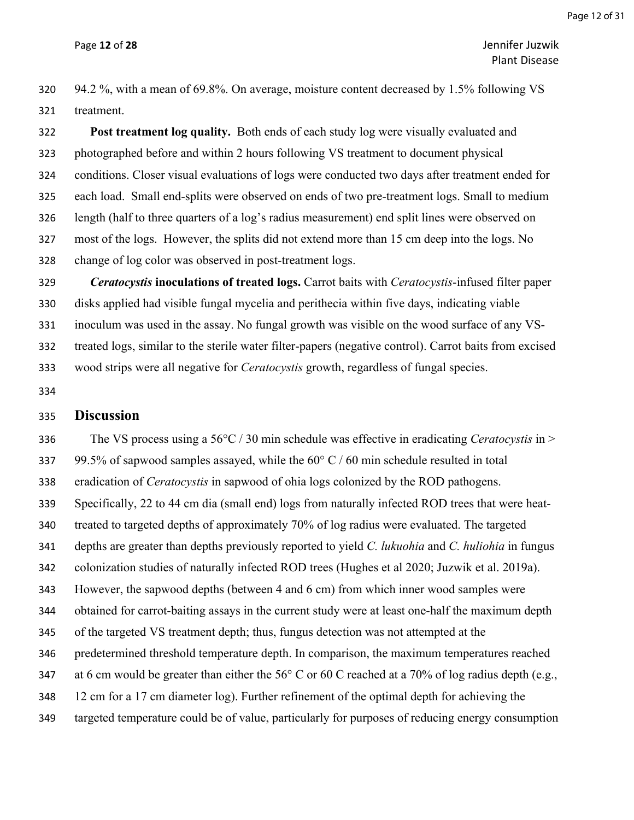Page **12** of **28** Jennifer Juzwik Plant Disease

 94.2 %, with a mean of 69.8%. On average, moisture content decreased by 1.5% following VS treatment.

 **Post treatment log quality.** Both ends of each study log were visually evaluated and photographed before and within 2 hours following VS treatment to document physical conditions. Closer visual evaluations of logs were conducted two days after treatment ended for each load. Small end-splits were observed on ends of two pre-treatment logs. Small to medium length (half to three quarters of a log's radius measurement) end split lines were observed on most of the logs. However, the splits did not extend more than 15 cm deep into the logs. No change of log color was observed in post-treatment logs.

 *Ceratocystis* **inoculations of treated logs.** Carrot baits with *Ceratocystis*-infused filter paper disks applied had visible fungal mycelia and perithecia within five days, indicating viable inoculum was used in the assay. No fungal growth was visible on the wood surface of any VS- treated logs, similar to the sterile water filter-papers (negative control). Carrot baits from excised wood strips were all negative for *Ceratocystis* growth, regardless of fungal species.

#### **Discussion**

 The VS process using a 56°C / 30 min schedule was effective in eradicating *Ceratocystis* in > 337 99.5% of sapwood samples assayed, while the  $60^{\circ}$  C / 60 min schedule resulted in total eradication of *Ceratocystis* in sapwood of ohia logs colonized by the ROD pathogens. Specifically, 22 to 44 cm dia (small end) logs from naturally infected ROD trees that were heat- treated to targeted depths of approximately 70% of log radius were evaluated. The targeted depths are greater than depths previously reported to yield *C. lukuohia* and *C. huliohia* in fungus colonization studies of naturally infected ROD trees (Hughes et al 2020; Juzwik et al. 2019a). However, the sapwood depths (between 4 and 6 cm) from which inner wood samples were obtained for carrot-baiting assays in the current study were at least one-half the maximum depth of the targeted VS treatment depth; thus, fungus detection was not attempted at the predetermined threshold temperature depth. In comparison, the maximum temperatures reached at 6 cm would be greater than either the 56° C or 60 C reached at a 70% of log radius depth (e.g., 12 cm for a 17 cm diameter log). Further refinement of the optimal depth for achieving the targeted temperature could be of value, particularly for purposes of reducing energy consumption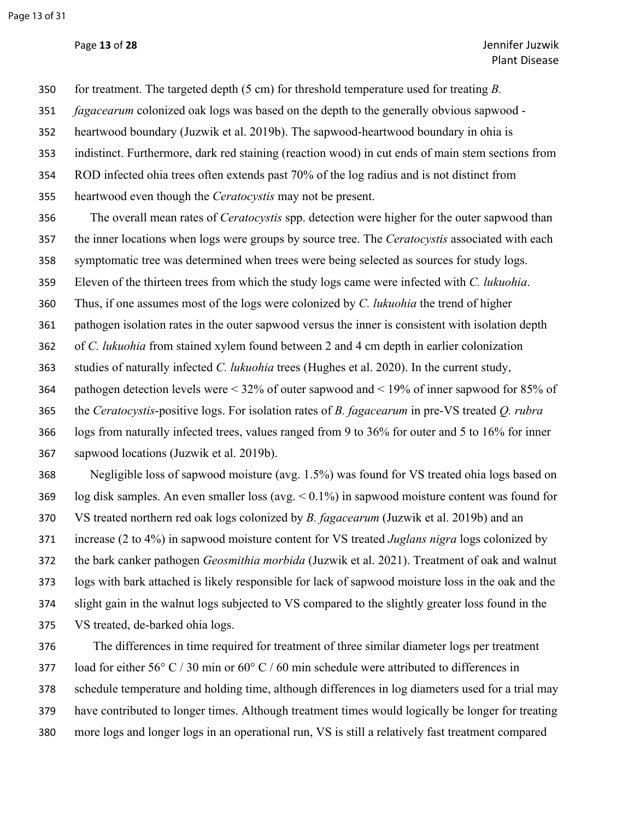for treatment. The targeted depth (5 cm) for threshold temperature used for treating *B.* 

*fagacearum* colonized oak logs was based on the depth to the generally obvious sapwood -

heartwood boundary (Juzwik et al. 2019b). The sapwood-heartwood boundary in ohia is

indistinct. Furthermore, dark red staining (reaction wood) in cut ends of main stem sections from

ROD infected ohia trees often extends past 70% of the log radius and is not distinct from

heartwood even though the *Ceratocystis* may not be present.

 The overall mean rates of *Ceratocystis* spp. detection were higher for the outer sapwood than the inner locations when logs were groups by source tree. The *Ceratocystis* associated with each symptomatic tree was determined when trees were being selected as sources for study logs.

Eleven of the thirteen trees from which the study logs came were infected with *C. lukuohia*.

Thus, if one assumes most of the logs were colonized by *C. lukuohia* the trend of higher

pathogen isolation rates in the outer sapwood versus the inner is consistent with isolation depth

of *C. lukuohia* from stained xylem found between 2 and 4 cm depth in earlier colonization

studies of naturally infected *C. lukuohia* trees (Hughes et al. 2020). In the current study,

pathogen detection levels were < 32% of outer sapwood and < 19% of inner sapwood for 85% of

the *Ceratocystis*-positive logs. For isolation rates of *B. fagacearum* in pre-VS treated *Q. rubra*

 logs from naturally infected trees, values ranged from 9 to 36% for outer and 5 to 16% for inner sapwood locations (Juzwik et al. 2019b).

 Negligible loss of sapwood moisture (avg. 1.5%) was found for VS treated ohia logs based on log disk samples. An even smaller loss (avg. < 0.1%) in sapwood moisture content was found for VS treated northern red oak logs colonized by *B. fagacearum* (Juzwik et al. 2019b) and an increase (2 to 4%) in sapwood moisture content for VS treated *Juglans nigra* logs colonized by the bark canker pathogen *Geosmithia morbida* (Juzwik et al. 2021). Treatment of oak and walnut logs with bark attached is likely responsible for lack of sapwood moisture loss in the oak and the slight gain in the walnut logs subjected to VS compared to the slightly greater loss found in the VS treated, de-barked ohia logs.

 The differences in time required for treatment of three similar diameter logs per treatment 377 load for either  $56^{\circ}$  C / 30 min or  $60^{\circ}$  C / 60 min schedule were attributed to differences in schedule temperature and holding time, although differences in log diameters used for a trial may have contributed to longer times. Although treatment times would logically be longer for treating more logs and longer logs in an operational run, VS is still a relatively fast treatment compared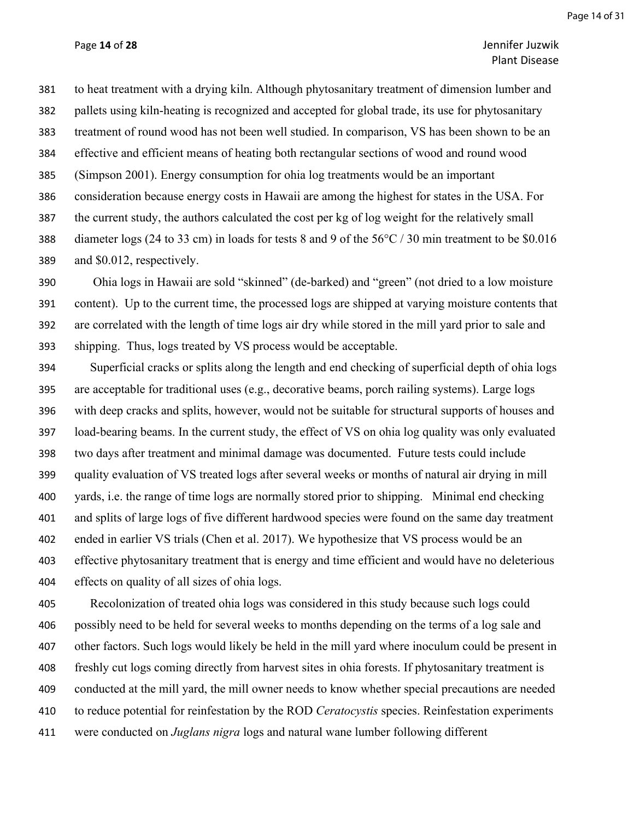## Page **14** of **28** Jennifer Juzwik Plant Disease

 to heat treatment with a drying kiln. Although phytosanitary treatment of dimension lumber and pallets using kiln-heating is recognized and accepted for global trade, its use for phytosanitary treatment of round wood has not been well studied. In comparison, VS has been shown to be an effective and efficient means of heating both rectangular sections of wood and round wood (Simpson 2001). Energy consumption for ohia log treatments would be an important consideration because energy costs in Hawaii are among the highest for states in the USA. For the current study, the authors calculated the cost per kg of log weight for the relatively small diameter logs (24 to 33 cm) in loads for tests 8 and 9 of the 56°C / 30 min treatment to be \$0.016 and \$0.012, respectively.

 Ohia logs in Hawaii are sold "skinned" (de-barked) and "green" (not dried to a low moisture content). Up to the current time, the processed logs are shipped at varying moisture contents that are correlated with the length of time logs air dry while stored in the mill yard prior to sale and shipping. Thus, logs treated by VS process would be acceptable.

 Superficial cracks or splits along the length and end checking of superficial depth of ohia logs are acceptable for traditional uses (e.g., decorative beams, porch railing systems). Large logs with deep cracks and splits, however, would not be suitable for structural supports of houses and load-bearing beams. In the current study, the effect of VS on ohia log quality was only evaluated two days after treatment and minimal damage was documented. Future tests could include quality evaluation of VS treated logs after several weeks or months of natural air drying in mill yards, i.e. the range of time logs are normally stored prior to shipping. Minimal end checking and splits of large logs of five different hardwood species were found on the same day treatment ended in earlier VS trials (Chen et al. 2017). We hypothesize that VS process would be an effective phytosanitary treatment that is energy and time efficient and would have no deleterious effects on quality of all sizes of ohia logs.

 Recolonization of treated ohia logs was considered in this study because such logs could possibly need to be held for several weeks to months depending on the terms of a log sale and other factors. Such logs would likely be held in the mill yard where inoculum could be present in freshly cut logs coming directly from harvest sites in ohia forests. If phytosanitary treatment is conducted at the mill yard, the mill owner needs to know whether special precautions are needed to reduce potential for reinfestation by the ROD *Ceratocystis* species. Reinfestation experiments were conducted on *Juglans nigra* logs and natural wane lumber following different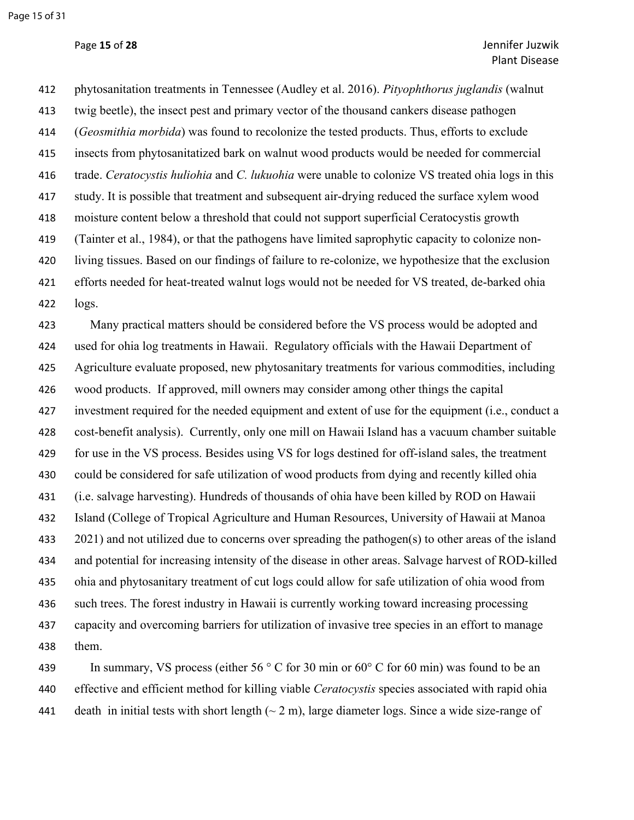phytosanitation treatments in Tennessee (Audley et al. 2016). *Pityophthorus juglandis* (walnut twig beetle), the insect pest and primary vector of the thousand cankers disease pathogen (*Geosmithia morbida*) was found to recolonize the tested products. Thus, efforts to exclude insects from phytosanitatized bark on walnut wood products would be needed for commercial trade. *Ceratocystis huliohia* and *C. lukuohia* were unable to colonize VS treated ohia logs in this study. It is possible that treatment and subsequent air-drying reduced the surface xylem wood moisture content below a threshold that could not support superficial Ceratocystis growth (Tainter et al., 1984), or that the pathogens have limited saprophytic capacity to colonize non- living tissues. Based on our findings of failure to re-colonize, we hypothesize that the exclusion efforts needed for heat-treated walnut logs would not be needed for VS treated, de-barked ohia logs.

 Many practical matters should be considered before the VS process would be adopted and used for ohia log treatments in Hawaii. Regulatory officials with the Hawaii Department of Agriculture evaluate proposed, new phytosanitary treatments for various commodities, including wood products. If approved, mill owners may consider among other things the capital investment required for the needed equipment and extent of use for the equipment (i.e., conduct a cost-benefit analysis). Currently, only one mill on Hawaii Island has a vacuum chamber suitable for use in the VS process. Besides using VS for logs destined for off-island sales, the treatment could be considered for safe utilization of wood products from dying and recently killed ohia (i.e. salvage harvesting). Hundreds of thousands of ohia have been killed by ROD on Hawaii Island (College of Tropical Agriculture and Human Resources, University of Hawaii at Manoa 2021) and not utilized due to concerns over spreading the pathogen(s) to other areas of the island and potential for increasing intensity of the disease in other areas. Salvage harvest of ROD-killed ohia and phytosanitary treatment of cut logs could allow for safe utilization of ohia wood from such trees. The forest industry in Hawaii is currently working toward increasing processing capacity and overcoming barriers for utilization of invasive tree species in an effort to manage them.

 In summary, VS process (either 56 ° C for 30 min or 60° C for 60 min) was found to be an effective and efficient method for killing viable *Ceratocystis* species associated with rapid ohia 441 death in initial tests with short length  $({\sim}2 \text{ m})$ , large diameter logs. Since a wide size-range of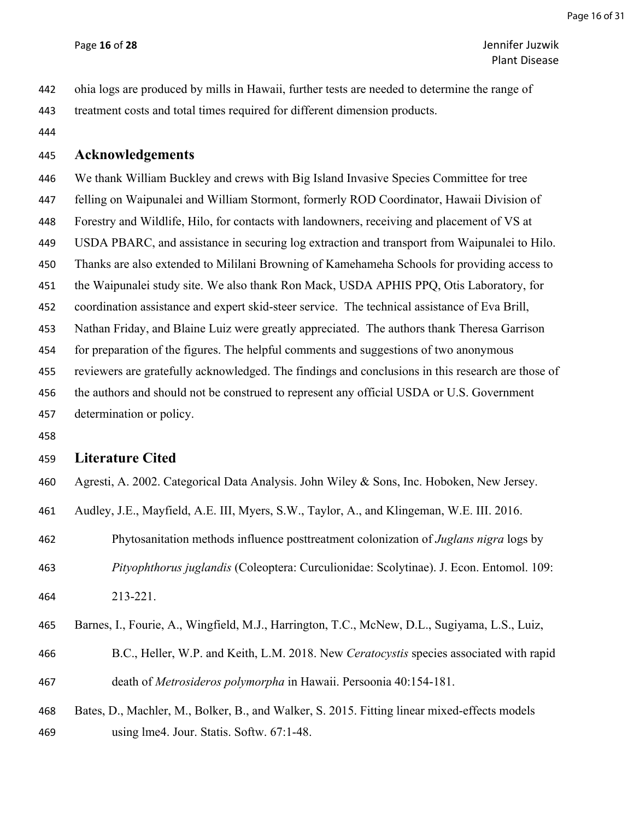Page **16** of **28** Jennifer Juzwik Plant Disease

- ohia logs are produced by mills in Hawaii, further tests are needed to determine the range of treatment costs and total times required for different dimension products.
- 

#### **Acknowledgements**

 We thank William Buckley and crews with Big Island Invasive Species Committee for tree felling on Waipunalei and William Stormont, formerly ROD Coordinator, Hawaii Division of Forestry and Wildlife, Hilo, for contacts with landowners, receiving and placement of VS at USDA PBARC, and assistance in securing log extraction and transport from Waipunalei to Hilo. Thanks are also extended to Mililani Browning of Kamehameha Schools for providing access to the Waipunalei study site. We also thank Ron Mack, USDA APHIS PPQ, Otis Laboratory, for coordination assistance and expert skid-steer service. The technical assistance of Eva Brill, Nathan Friday, and Blaine Luiz were greatly appreciated. The authors thank Theresa Garrison for preparation of the figures. The helpful comments and suggestions of two anonymous reviewers are gratefully acknowledged. The findings and conclusions in this research are those of the authors and should not be construed to represent any official USDA or U.S. Government determination or policy.

#### **Literature Cited**

- Agresti, A. 2002. Categorical Data Analysis. John Wiley & Sons, Inc. Hoboken, New Jersey.
- Audley, J.E., Mayfield, A.E. III, Myers, S.W., Taylor, A., and Klingeman, W.E. III. 2016.
- Phytosanitation methods influence posttreatment colonization of *Juglans nigra* logs by *Pityophthorus juglandis* (Coleoptera: Curculionidae: Scolytinae). J. Econ. Entomol. 109: 213-221.
- Barnes, I., Fourie, A., Wingfield, M.J., Harrington, T.C., McNew, D.L., Sugiyama, L.S., Luiz,
- B.C., Heller, W.P. and Keith, L.M. 2018. New *Ceratocystis* species associated with rapid death of *Metrosideros polymorpha* in Hawaii. Persoonia 40:154-181.
- Bates, D., Machler, M., Bolker, B., and Walker, S. 2015. Fitting linear mixed-effects models using lme4. Jour. Statis. Softw. 67:1-48.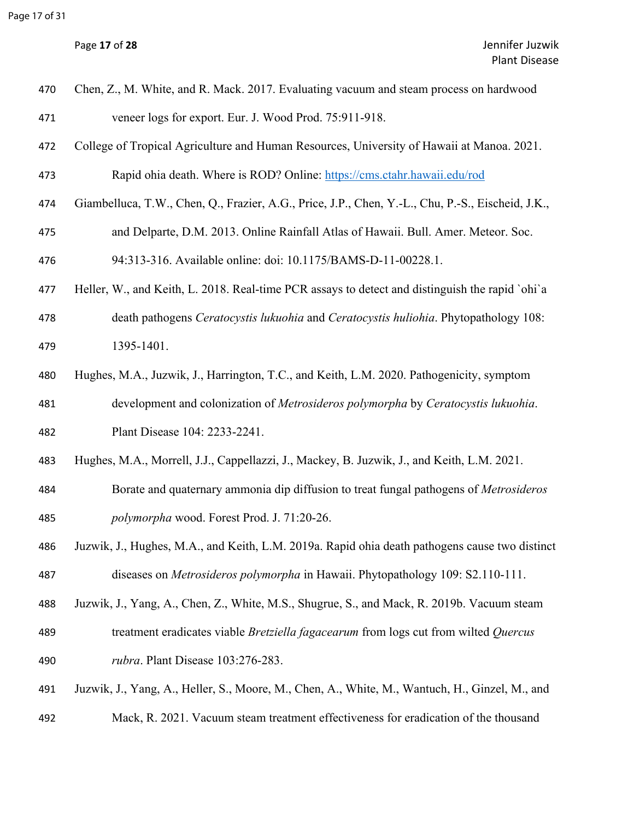|  | Page 17 of 28 |  |  |  |
|--|---------------|--|--|--|
|--|---------------|--|--|--|

| 470 | Chen, Z., M. White, and R. Mack. 2017. Evaluating vacuum and steam process on hardwood            |
|-----|---------------------------------------------------------------------------------------------------|
| 471 | veneer logs for export. Eur. J. Wood Prod. 75:911-918.                                            |
| 472 | College of Tropical Agriculture and Human Resources, University of Hawaii at Manoa. 2021.         |
| 473 | Rapid ohia death. Where is ROD? Online: https://cms.ctahr.hawaii.edu/rod                          |
| 474 | Giambelluca, T.W., Chen, Q., Frazier, A.G., Price, J.P., Chen, Y.-L., Chu, P.-S., Eischeid, J.K., |
| 475 | and Delparte, D.M. 2013. Online Rainfall Atlas of Hawaii. Bull. Amer. Meteor. Soc.                |
| 476 | 94:313-316. Available online: doi: 10.1175/BAMS-D-11-00228.1.                                     |
| 477 | Heller, W., and Keith, L. 2018. Real-time PCR assays to detect and distinguish the rapid `ohi`a   |
| 478 | death pathogens Ceratocystis lukuohia and Ceratocystis huliohia. Phytopathology 108:              |
| 479 | 1395-1401.                                                                                        |
| 480 | Hughes, M.A., Juzwik, J., Harrington, T.C., and Keith, L.M. 2020. Pathogenicity, symptom          |
| 481 | development and colonization of Metrosideros polymorpha by Ceratocystis lukuohia.                 |
| 482 | Plant Disease 104: 2233-2241.                                                                     |
| 483 | Hughes, M.A., Morrell, J.J., Cappellazzi, J., Mackey, B. Juzwik, J., and Keith, L.M. 2021.        |
| 484 | Borate and quaternary ammonia dip diffusion to treat fungal pathogens of Metrosideros             |
| 485 | polymorpha wood. Forest Prod. J. 71:20-26.                                                        |
| 486 | Juzwik, J., Hughes, M.A., and Keith, L.M. 2019a. Rapid ohia death pathogens cause two distinct    |
| 487 | diseases on Metrosideros polymorpha in Hawaii. Phytopathology 109: S2.110-111.                    |
| 488 | Juzwik, J., Yang, A., Chen, Z., White, M.S., Shugrue, S., and Mack, R. 2019b. Vacuum steam        |
| 489 | treatment eradicates viable <i>Bretziella fagacearum</i> from logs cut from wilted <i>Quercus</i> |
| 490 | rubra. Plant Disease 103:276-283.                                                                 |
| 491 | Juzwik, J., Yang, A., Heller, S., Moore, M., Chen, A., White, M., Wantuch, H., Ginzel, M., and    |
| 492 | Mack, R. 2021. Vacuum steam treatment effectiveness for eradication of the thousand               |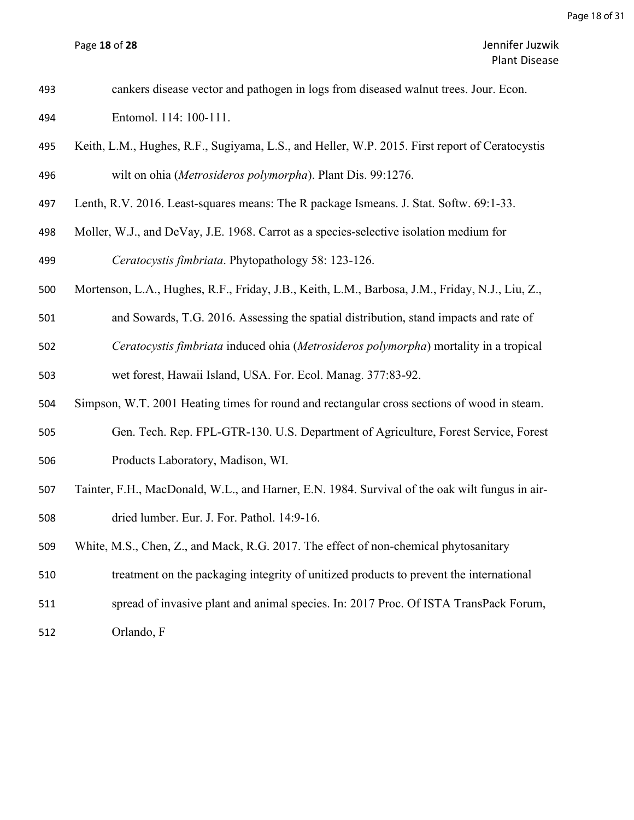| 493 | cankers disease vector and pathogen in logs from diseased walnut trees. Jour. Econ.             |
|-----|-------------------------------------------------------------------------------------------------|
| 494 | Entomol. 114: 100-111.                                                                          |
| 495 | Keith, L.M., Hughes, R.F., Sugiyama, L.S., and Heller, W.P. 2015. First report of Ceratocystis  |
| 496 | wilt on ohia (Metrosideros polymorpha). Plant Dis. 99:1276.                                     |
| 497 | Lenth, R.V. 2016. Least-squares means: The R package Ismeans. J. Stat. Softw. 69:1-33.          |
| 498 | Moller, W.J., and DeVay, J.E. 1968. Carrot as a species-selective isolation medium for          |
| 499 | Ceratocystis fimbriata. Phytopathology 58: 123-126.                                             |
| 500 | Mortenson, L.A., Hughes, R.F., Friday, J.B., Keith, L.M., Barbosa, J.M., Friday, N.J., Liu, Z., |
| 501 | and Sowards, T.G. 2016. Assessing the spatial distribution, stand impacts and rate of           |
| 502 | Ceratocystis fimbriata induced ohia (Metrosideros polymorpha) mortality in a tropical           |
| 503 | wet forest, Hawaii Island, USA. For. Ecol. Manag. 377:83-92.                                    |
| 504 | Simpson, W.T. 2001 Heating times for round and rectangular cross sections of wood in steam.     |
| 505 | Gen. Tech. Rep. FPL-GTR-130. U.S. Department of Agriculture, Forest Service, Forest             |
| 506 | Products Laboratory, Madison, WI.                                                               |
| 507 | Tainter, F.H., MacDonald, W.L., and Harner, E.N. 1984. Survival of the oak wilt fungus in air-  |
| 508 | dried lumber. Eur. J. For. Pathol. 14:9-16.                                                     |
| 509 | White, M.S., Chen, Z., and Mack, R.G. 2017. The effect of non-chemical phytosanitary            |
| 510 | treatment on the packaging integrity of unitized products to prevent the international          |
| 511 | spread of invasive plant and animal species. In: 2017 Proc. Of ISTA TransPack Forum,            |
|     |                                                                                                 |

Orlando, F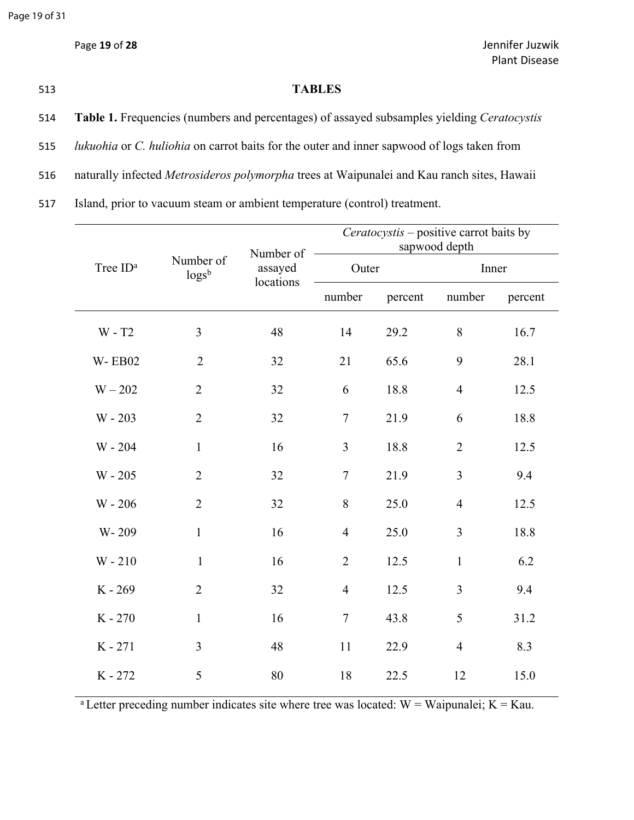## 513 **TABLES**

- 514 **Table 1.** Frequencies (numbers and percentages) of assayed subsamples yielding *Ceratocystis*
- 515 *lukuohia* or *C. huliohia* on carrot baits for the outer and inner sapwood of logs taken from
- 516 naturally infected *Metrosideros polymorpha* trees at Waipunalei and Kau ranch sites, Hawaii

517 Island, prior to vacuum steam or ambient temperature (control) treatment.

|                      |                                 | Number of | Ceratocystis - positive carrot baits by<br>sapwood depth |         |                |         |  |
|----------------------|---------------------------------|-----------|----------------------------------------------------------|---------|----------------|---------|--|
| Tree ID <sup>a</sup> | Number of<br>log s <sup>b</sup> | assayed   | Outer                                                    |         | Inner          |         |  |
|                      |                                 | locations | number                                                   | percent | number         | percent |  |
| $W - T2$             | 3                               | 48        | 14                                                       | 29.2    | $8\,$          | 16.7    |  |
| <b>W-EB02</b>        | $\overline{2}$                  | 32        | 21                                                       | 65.6    | 9              | 28.1    |  |
| $W - 202$            | $\overline{2}$                  | 32        | 6                                                        | 18.8    | $\overline{4}$ | 12.5    |  |
| $W - 203$            | $\overline{2}$                  | 32        | $\overline{7}$                                           | 21.9    | 6              | 18.8    |  |
| W - 204              | $\mathbf{1}$                    | 16        | $\overline{3}$                                           | 18.8    | $\overline{2}$ | 12.5    |  |
| $W - 205$            | $\overline{2}$                  | 32        | $\tau$                                                   | 21.9    | 3              | 9.4     |  |
| $W - 206$            | $\overline{2}$                  | 32        | $8\,$                                                    | 25.0    | $\overline{4}$ | 12.5    |  |
| W-209                | $\mathbf{1}$                    | 16        | $\overline{4}$                                           | 25.0    | $\overline{3}$ | 18.8    |  |
| $W - 210$            | $\mathbf{1}$                    | 16        | $\overline{2}$                                           | 12.5    | $\mathbf{1}$   | 6.2     |  |
| K-269                | $\overline{2}$                  | 32        | $\overline{4}$                                           | 12.5    | 3              | 9.4     |  |
| K-270                | $\mathbf{1}$                    | 16        | $\overline{7}$                                           | 43.8    | 5              | 31.2    |  |
| $K - 271$            | $\overline{3}$                  | 48        | 11                                                       | 22.9    | $\overline{4}$ | 8.3     |  |
| K-272                | 5                               | 80        | 18                                                       | 22.5    | 12             | 15.0    |  |

<sup>a</sup> Letter preceding number indicates site where tree was located:  $W =$  Waipunalei;  $K =$  Kau.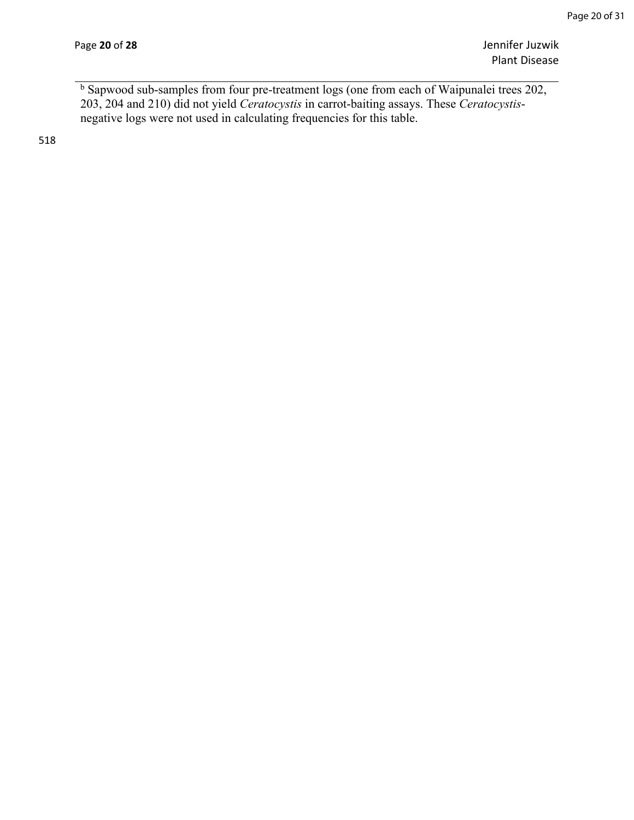Page **20** of **28** Jennifer Juzwik Plant Disease

<sup>b</sup> Sapwood sub-samples from four pre-treatment logs (one from each of Waipunalei trees 202, 203, 204 and 210) did not yield *Ceratocystis* in carrot-baiting assays. These *Ceratocystis*negative logs were not used in calculating frequencies for this table.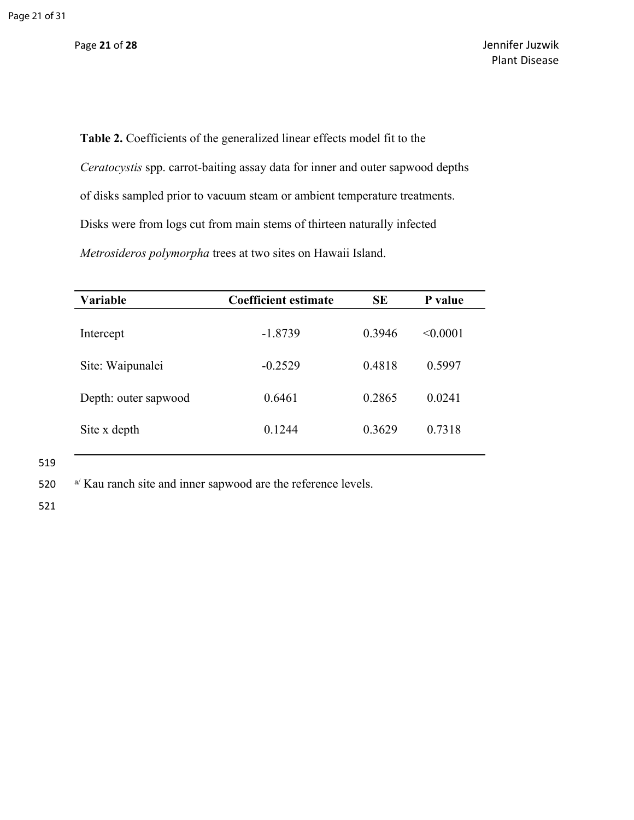**Table 2.** Coefficients of the generalized linear effects model fit to the *Ceratocystis* spp. carrot-baiting assay data for inner and outer sapwood depths of disks sampled prior to vacuum steam or ambient temperature treatments. Disks were from logs cut from main stems of thirteen naturally infected *Metrosideros polymorpha* trees at two sites on Hawaii Island.

| <b>Variable</b>      | Coefficient estimate | <b>SE</b> | P value  |
|----------------------|----------------------|-----------|----------|
| Intercept            | $-1.8739$            | 0.3946    | < 0.0001 |
| Site: Waipunalei     | $-0.2529$            | 0.4818    | 0.5997   |
| Depth: outer sapwood | 0.6461               | 0.2865    | 0.0241   |
| Site x depth         | 0.1244               | 0.3629    | 0.7318   |
|                      |                      |           |          |

519

520 a/ Kau ranch site and inner sapwood are the reference levels.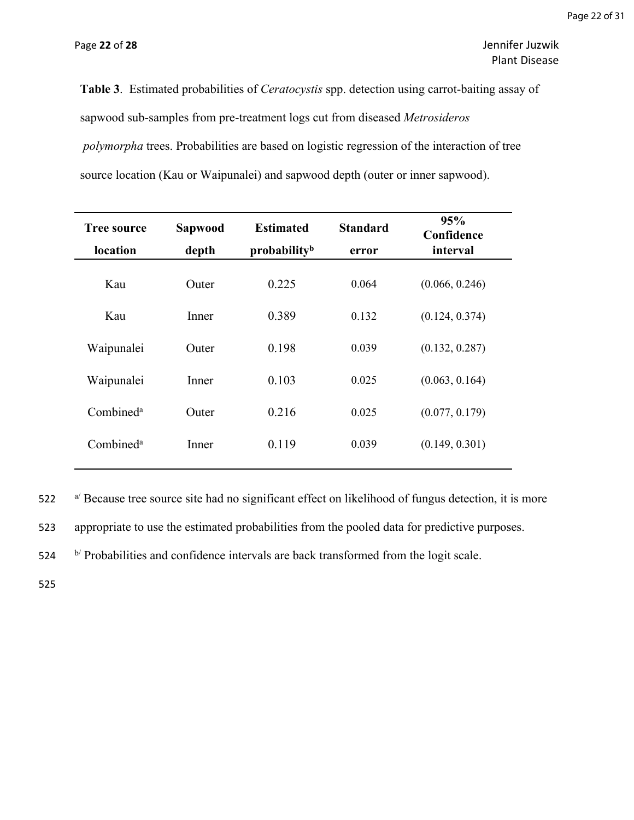Page **22** of **28** Jennifer Juzwik Plant Disease

**Table 3**. Estimated probabilities of *Ceratocystis* spp. detection using carrot-baiting assay of sapwood sub-samples from pre-treatment logs cut from diseased *Metrosideros polymorpha* trees. Probabilities are based on logistic regression of the interaction of tree source location (Kau or Waipunalei) and sapwood depth (outer or inner sapwood).

| Sapwood<br>depth | <b>Estimated</b><br>probability <sup>b</sup> | <b>Standard</b><br>error | 95%<br>Confidence<br>interval |
|------------------|----------------------------------------------|--------------------------|-------------------------------|
| Outer            | 0.225                                        | 0.064                    | (0.066, 0.246)                |
| Inner            | 0.389                                        | 0.132                    | (0.124, 0.374)                |
| Outer            | 0.198                                        | 0.039                    | (0.132, 0.287)                |
| Inner            | 0.103                                        | 0.025                    | (0.063, 0.164)                |
| Outer            | 0.216                                        | 0.025                    | (0.077, 0.179)                |
| Inner            | 0.119                                        | 0.039                    | (0.149, 0.301)                |
|                  |                                              |                          |                               |

522 a/ Because tree source site had no significant effect on likelihood of fungus detection, it is more

523 appropriate to use the estimated probabilities from the pooled data for predictive purposes.

524 b/ Probabilities and confidence intervals are back transformed from the logit scale.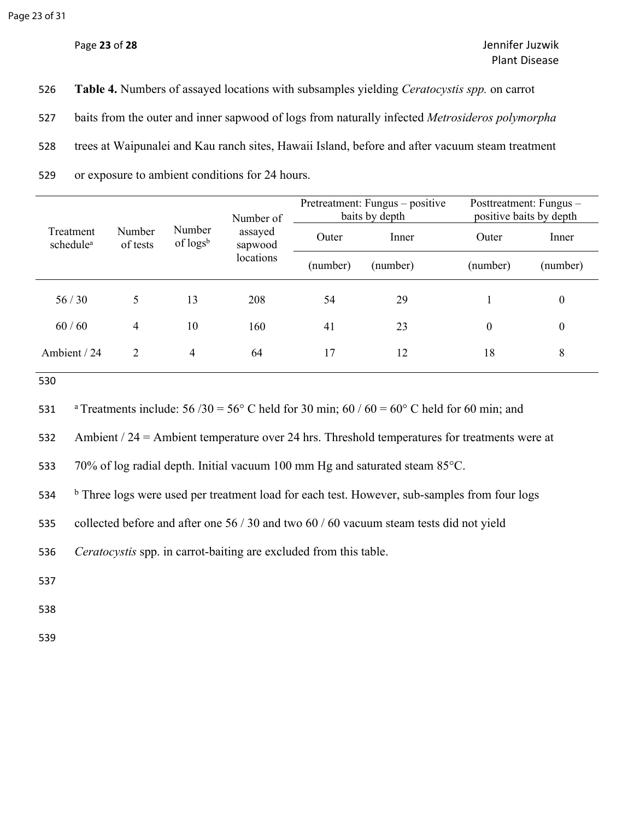| 526 | <b>Table 4.</b> Numbers of assayed locations with subsamples yielding <i>Ceratocystis spp.</i> on carrot |
|-----|----------------------------------------------------------------------------------------------------------|
| 527 | baits from the outer and inner sapwood of logs from naturally infected <i>Metrosideros polymorpha</i>    |
| 528 | trees at Waipunalei and Kau ranch sites, Hawaii Island, before and after vacuum steam treatment          |
| 529 | or exposure to ambient conditions for 24 hours.                                                          |

|                                    |                    |                                 | Number of                       | Pretreatment: Fungus – positive<br>baits by depth |          | Posttreatment: Fungus -<br>positive baits by depth |                  |
|------------------------------------|--------------------|---------------------------------|---------------------------------|---------------------------------------------------|----------|----------------------------------------------------|------------------|
| Treatment<br>schedule <sup>a</sup> | Number<br>of tests | Number<br>of log s <sup>b</sup> | assayed<br>sapwood<br>locations | Outer                                             | Inner    | Outer                                              | Inner            |
|                                    |                    |                                 |                                 | (number)                                          | (number) | (number)                                           | (number)         |
| 56/30                              |                    | 13                              | 208                             | 54                                                | 29       |                                                    | $\boldsymbol{0}$ |
| 60/60                              | 4                  | 10                              | 160                             | 41                                                | 23       | $\boldsymbol{0}$                                   | $\boldsymbol{0}$ |
| Ambient / 24                       | 2                  | 4                               | 64                              | 17                                                | 12       | 18                                                 | 8                |

530

531 aTreatments include:  $56 / 30 = 56^{\circ}$  C held for 30 min;  $60 / 60 = 60^{\circ}$  C held for 60 min; and

532 Ambient / 24 = Ambient temperature over 24 hrs. Threshold temperatures for treatments were at

533 70% of log radial depth. Initial vacuum 100 mm Hg and saturated steam 85°C.

534 <sup>b</sup> **b** Three logs were used per treatment load for each test. However, sub-samples from four logs

535 collected before and after one 56 / 30 and two 60 / 60 vacuum steam tests did not yield

536 *Ceratocystis* spp. in carrot-baiting are excluded from this table.

537

538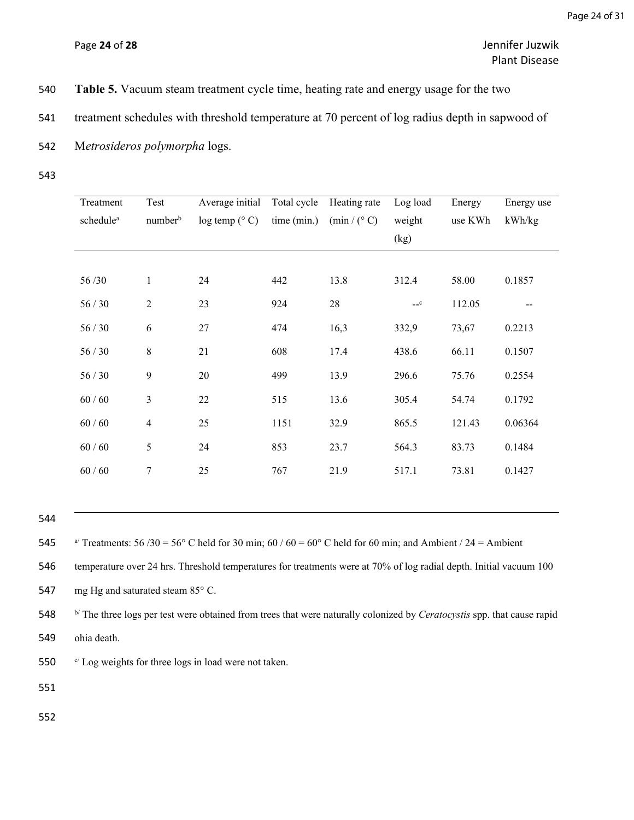- 540 **Table 5.** Vacuum steam treatment cycle time, heating rate and energy usage for the two
- 541 treatment schedules with threshold temperature at 70 percent of log radius depth in sapwood of
- 542 M*etrosideros polymorpha* logs.
- 543

| Treatment             | Test                | Average initial | Total cycle | Heating rate            | Log load | Energy  | Energy use |
|-----------------------|---------------------|-----------------|-------------|-------------------------|----------|---------|------------|
| schedule <sup>a</sup> | number <sup>b</sup> | log temp (° C)  | time (min.) | $(\min / (^{\circ} C))$ | weight   | use KWh | kWh/kg     |
|                       |                     |                 |             |                         | (kg)     |         |            |
|                       |                     |                 |             |                         |          |         |            |
| 56/30                 | $\mathbf{1}$        | 24              | 442         | 13.8                    | 312.4    | 58.00   | 0.1857     |
| 56/30                 | $\overline{2}$      | 23              | 924         | 28                      | $-c$     | 112.05  |            |
| 56/30                 | 6                   | $27\,$          | 474         | 16,3                    | 332,9    | 73,67   | 0.2213     |
| 56/30                 | $\,8\,$             | 21              | 608         | 17.4                    | 438.6    | 66.11   | 0.1507     |
| 56/30                 | 9                   | 20              | 499         | 13.9                    | 296.6    | 75.76   | 0.2554     |
| $60/60$               | $\mathfrak{Z}$      | $22\,$          | 515         | 13.6                    | 305.4    | 54.74   | 0.1792     |
| $60/60$               | $\overline{4}$      | 25              | 1151        | 32.9                    | 865.5    | 121.43  | 0.06364    |
| $60/60$               | 5                   | 24              | 853         | 23.7                    | 564.3    | 83.73   | 0.1484     |
| $60/60$               | $\tau$              | 25              | 767         | 21.9                    | 517.1    | 73.81   | 0.1427     |
|                       |                     |                 |             |                         |          |         |            |

544

546 temperature over 24 hrs. Threshold temperatures for treatments were at 70% of log radial depth. Initial vacuum 100

547 mg Hg and saturated steam 85° C.

548 b/ The three logs per test were obtained from trees that were naturally colonized by *Ceratocystis* spp. that cause rapid 549 ohia death.

550  $\degree$  Log weights for three logs in load were not taken.

551

<sup>545</sup> a<sup> $\alpha$ </sup> Treatments: 56 /30 = 56° C held for 30 min; 60 / 60 = 60° C held for 60 min; and Ambient / 24 = Ambient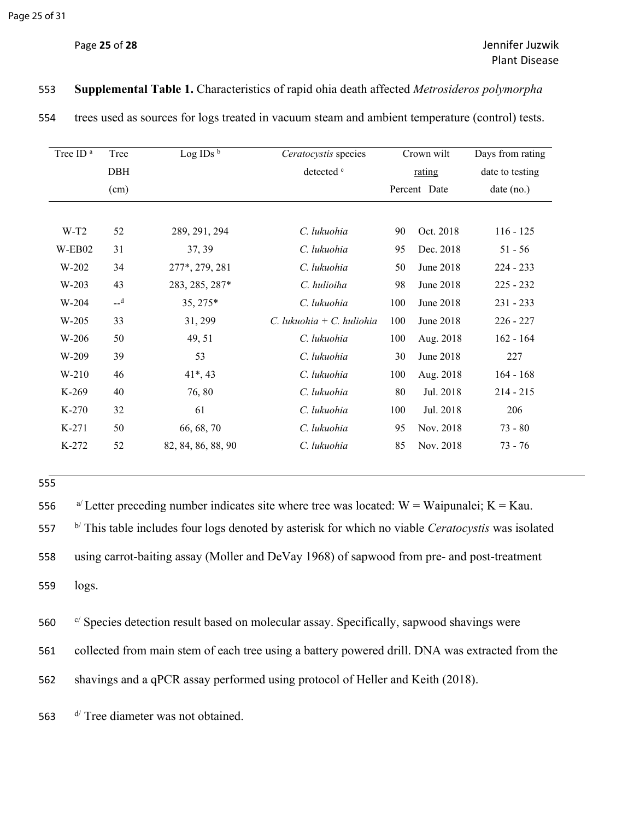| Tree ID <sup>a</sup> | Tree       | Log IDs $^{\rm b}$ | Ceratocystis species         |     | Crown wilt   | Days from rating |
|----------------------|------------|--------------------|------------------------------|-----|--------------|------------------|
|                      | <b>DBH</b> |                    | detected c                   |     | rating       | date to testing  |
|                      | (cm)       |                    |                              |     | Percent Date | $date$ (no.)     |
|                      |            |                    |                              |     |              |                  |
| $W-T2$               | 52         | 289, 291, 294      | C. lukuohia                  | 90  | Oct. 2018    | $116 - 125$      |
| W-EB02               | 31         | 37, 39             | C. lukuohia                  | 95  | Dec. 2018    | $51 - 56$        |
| $W-202$              | 34         | 277*, 279, 281     | C. lukuohia                  | 50  | June 2018    | $224 - 233$      |
| $W-203$              | 43         | 283, 285, 287*     | C. hulioiha                  | 98  | June 2018    | $225 - 232$      |
| W-204                | $-d$       | 35, 275*           | C. lukuohia                  | 100 | June 2018    | $231 - 233$      |
| W-205                | 33         | 31, 299            | $C$ , lukuohia + C, huliohia | 100 | June 2018    | $226 - 227$      |
| W-206                | 50         | 49, 51             | C. lukuohia                  | 100 | Aug. 2018    | $162 - 164$      |
| $W-209$              | 39         | 53                 | C. lukuohia                  | 30  | June 2018    | 227              |
| $W-210$              | 46         | $41*, 43$          | C. lukuohia                  | 100 | Aug. 2018    | $164 - 168$      |
| K-269                | 40         | 76,80              | C. lukuohia                  | 80  | Jul. 2018    | $214 - 215$      |
| $K-270$              | 32         | 61                 | C. lukuohia                  | 100 | Jul. 2018    | 206              |
| $K-271$              | 50         | 66, 68, 70         | C. lukuohia                  | 95  | Nov. 2018    | $73 - 80$        |
| K-272                | 52         | 82, 84, 86, 88, 90 | C. lukuohia                  | 85  | Nov. 2018    | $73 - 76$        |

#### 553 **Supplemental Table 1.** Characteristics of rapid ohia death affected *Metrosideros polymorpha*

554 trees used as sources for logs treated in vacuum steam and ambient temperature (control) tests.

| W-209 | -20 | --<br>ັ້<br>- - | lukuohia | 30 | 2018<br>June<br>$\sim$ | $\sim$<br>$\overline{\phantom{m}}$ |
|-------|-----|-----------------|----------|----|------------------------|------------------------------------|
|       |     |                 |          |    |                        |                                    |

555

 $a^{\prime}$  Letter preceding number indicates site where tree was located: W = Waipunalei; K = Kau. b/ This table includes four logs denoted by asterisk for which no viable *Ceratocystis* was isolated using carrot-baiting assay (Moller and DeVay 1968) of sapwood from pre- and post-treatment 559 logs.

560 c/ Species detection result based on molecular assay. Specifically, sapwood shavings were

561 collected from main stem of each tree using a battery powered drill. DNA was extracted from the

562 shavings and a qPCR assay performed using protocol of Heller and Keith (2018).

563  $d$  Tree diameter was not obtained.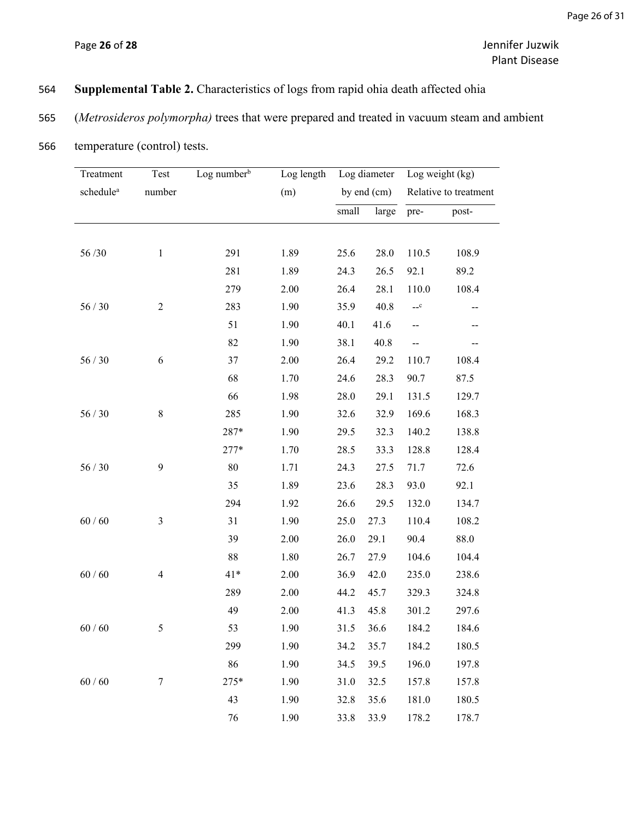# 564 **Supplemental Table 2.** Characteristics of logs from rapid ohia death affected ohia

# 565 (*Metrosideros polymorpha)* trees that were prepared and treated in vacuum steam and ambient

| Treatment             | Test<br>number | Log number <sup>b</sup> |      | Log length Log diameter<br>by end $(cm)$ |       | Log weight (kg)<br>Relative to treatment |       |
|-----------------------|----------------|-------------------------|------|------------------------------------------|-------|------------------------------------------|-------|
| schedule <sup>a</sup> |                |                         | (m)  |                                          |       |                                          |       |
|                       |                |                         |      | small                                    | large | pre-                                     | post- |
|                       |                |                         |      |                                          |       |                                          |       |
| 56/30                 | $\mathbf{1}$   | 291                     | 1.89 | 25.6                                     | 28.0  | 110.5                                    | 108.9 |
|                       |                | 281                     | 1.89 | 24.3                                     | 26.5  | 92.1                                     | 89.2  |
|                       |                | 279                     | 2.00 | 26.4                                     | 28.1  | 110.0                                    | 108.4 |
| 56/30                 | $\sqrt{2}$     | 283                     | 1.90 | 35.9                                     | 40.8  | $-c$                                     |       |
|                       |                | 51                      | 1.90 | 40.1                                     | 41.6  | --                                       |       |
|                       |                | 82                      | 1.90 | 38.1                                     | 40.8  | --                                       |       |
| $56/30$               | 6              | 37                      | 2.00 | 26.4                                     | 29.2  | 110.7                                    | 108.4 |
|                       |                | 68                      | 1.70 | 24.6                                     | 28.3  | 90.7                                     | 87.5  |
|                       |                | 66                      | 1.98 | 28.0                                     | 29.1  | 131.5                                    | 129.7 |
| 56/30                 | $8\,$          | 285                     | 1.90 | 32.6                                     | 32.9  | 169.6                                    | 168.3 |
|                       |                | 287*                    | 1.90 | 29.5                                     | 32.3  | 140.2                                    | 138.8 |
|                       |                | $277*$                  | 1.70 | 28.5                                     | 33.3  | 128.8                                    | 128.4 |
| 56/30                 | 9              | 80                      | 1.71 | 24.3                                     | 27.5  | 71.7                                     | 72.6  |
|                       |                | 35                      | 1.89 | 23.6                                     | 28.3  | 93.0                                     | 92.1  |
|                       |                | 294                     | 1.92 | 26.6                                     | 29.5  | 132.0                                    | 134.7 |
| $60/60$               | $\mathfrak{Z}$ | 31                      | 1.90 | 25.0                                     | 27.3  | 110.4                                    | 108.2 |
|                       |                | 39                      | 2.00 | 26.0                                     | 29.1  | 90.4                                     | 88.0  |
|                       |                | 88                      | 1.80 | 26.7                                     | 27.9  | 104.6                                    | 104.4 |
| $60/60$               | 4              | $41*$                   | 2.00 | 36.9                                     | 42.0  | 235.0                                    | 238.6 |
|                       |                | 289                     | 2.00 | 44.2                                     | 45.7  | 329.3                                    | 324.8 |
|                       |                | 49                      | 2.00 | 41.3                                     | 45.8  | 301.2                                    | 297.6 |
| 60/60                 | 5              | 53                      | 1.90 | 31.5                                     | 36.6  | 184.2                                    | 184.6 |
|                       |                | 299                     | 1.90 | 34.2                                     | 35.7  | 184.2                                    | 180.5 |
|                       |                | 86                      | 1.90 | 34.5                                     | 39.5  | 196.0                                    | 197.8 |
| 60/60                 | $\tau$         | 275*                    | 1.90 | 31.0                                     | 32.5  | 157.8                                    | 157.8 |
|                       |                | 43                      | 1.90 | 32.8                                     | 35.6  | 181.0                                    | 180.5 |
|                       |                | 76                      | 1.90 | 33.8                                     | 33.9  | 178.2                                    | 178.7 |

566 temperature (control) tests.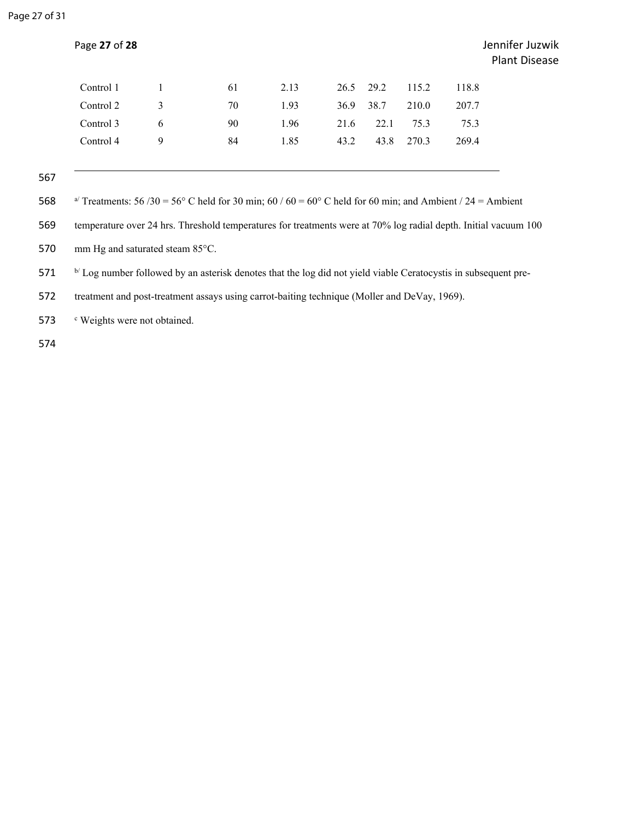| Control 1 | 1 | 61 | 2.13 | 26.5 29.2 |      | 115.2 | 118.8 |
|-----------|---|----|------|-----------|------|-------|-------|
| Control 2 | 3 | 70 | 1.93 | 36.9      | 38.7 | 210.0 | 207.7 |
| Control 3 | 6 | 90 | 1.96 | 21.6      | 22.1 | 75.3  | 75.3  |
| Control 4 | 9 | 84 | 1.85 | 43.2      | 43.8 | 270.3 | 269.4 |
|           |   |    |      |           |      |       |       |

567

568 a<sup> $\alpha$ </sup> Treatments: 56 /30 = 56° C held for 30 min; 60 / 60 = 60° C held for 60 min; and Ambient / 24 = Ambient

569 temperature over 24 hrs. Threshold temperatures for treatments were at 70% log radial depth. Initial vacuum 100

570 mm Hg and saturated steam 85°C.

571 b/ Log number followed by an asterisk denotes that the log did not yield viable Ceratocystis in subsequent pre-

572 treatment and post-treatment assays using carrot-baiting technique (Moller and DeVay, 1969).

573 <sup>c</sup> Weights were not obtained.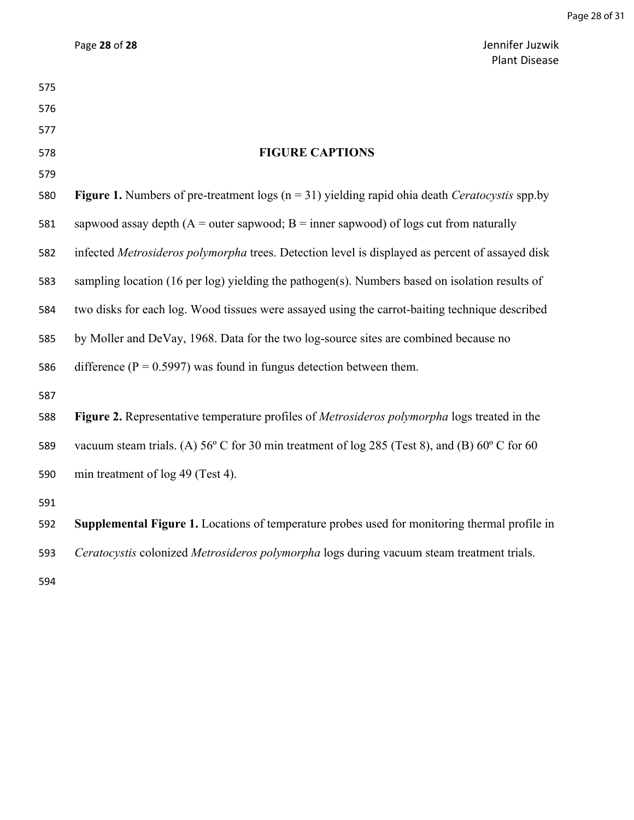|     | <b>Plant Disease</b>                                                                                             |
|-----|------------------------------------------------------------------------------------------------------------------|
| 575 |                                                                                                                  |
| 576 |                                                                                                                  |
| 577 |                                                                                                                  |
| 578 | <b>FIGURE CAPTIONS</b>                                                                                           |
| 579 |                                                                                                                  |
| 580 | <b>Figure 1.</b> Numbers of pre-treatment logs ( $n = 31$ ) yielding rapid ohia death <i>Ceratocystis</i> spp.by |
| 581 | sapwood assay depth ( $A =$ outer sapwood; $B =$ inner sapwood) of logs cut from naturally                       |
| 582 | infected Metrosideros polymorpha trees. Detection level is displayed as percent of assayed disk                  |
| 583 | sampling location (16 per log) yielding the pathogen(s). Numbers based on isolation results of                   |
| 584 | two disks for each log. Wood tissues were assayed using the carrot-baiting technique described                   |
| 585 | by Moller and DeVay, 1968. Data for the two log-source sites are combined because no                             |
| 586 | difference ( $P = 0.5997$ ) was found in fungus detection between them.                                          |
| 587 |                                                                                                                  |
| 588 | Figure 2. Representative temperature profiles of Metrosideros polymorpha logs treated in the                     |
| 589 | vacuum steam trials. (A) $56^{\circ}$ C for 30 min treatment of log 285 (Test 8), and (B) $60^{\circ}$ C for 60  |
| 590 | min treatment of log 49 (Test 4).                                                                                |
| 591 |                                                                                                                  |
| 592 | Supplemental Figure 1. Locations of temperature probes used for monitoring thermal profile in                    |
| 593 | Ceratocystis colonized Metrosideros polymorpha logs during vacuum steam treatment trials.                        |
| 594 |                                                                                                                  |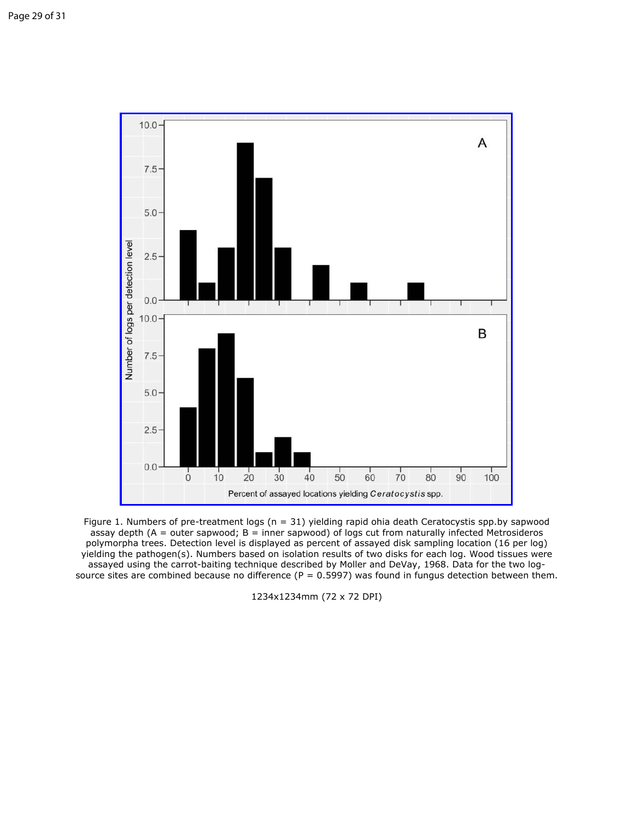

Figure 1. Numbers of pre-treatment logs ( $n = 31$ ) yielding rapid ohia death Ceratocystis spp.by sapwood assay depth ( $A =$  outer sapwood;  $B =$  inner sapwood) of logs cut from naturally infected Metrosideros polymorpha trees. Detection level is displayed as percent of assayed disk sampling location (16 per log) yielding the pathogen(s). Numbers based on isolation results of two disks for each log. Wood tissues were assayed using the carrot-baiting technique described by Moller and DeVay, 1968. Data for the two logsource sites are combined because no difference ( $P = 0.5997$ ) was found in fungus detection between them.

1234x1234mm (72 x 72 DPI)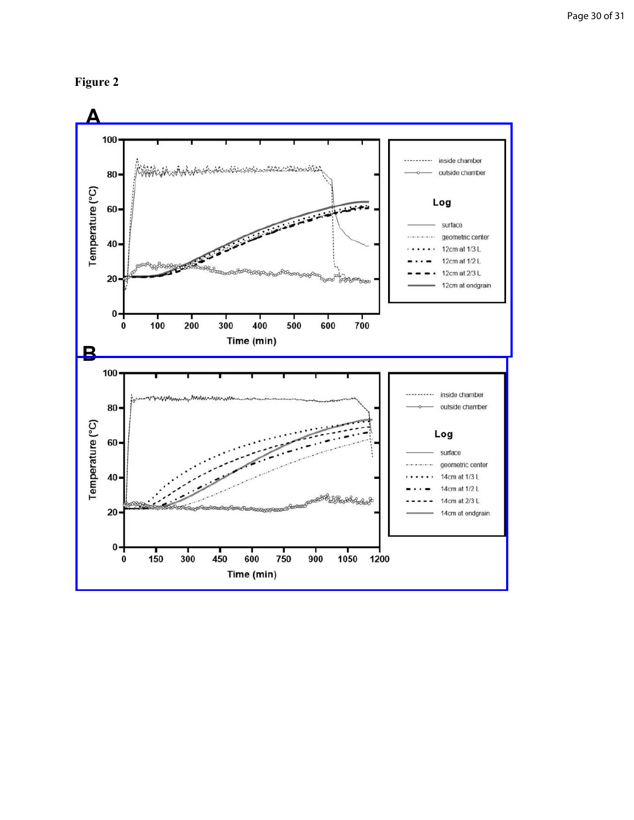